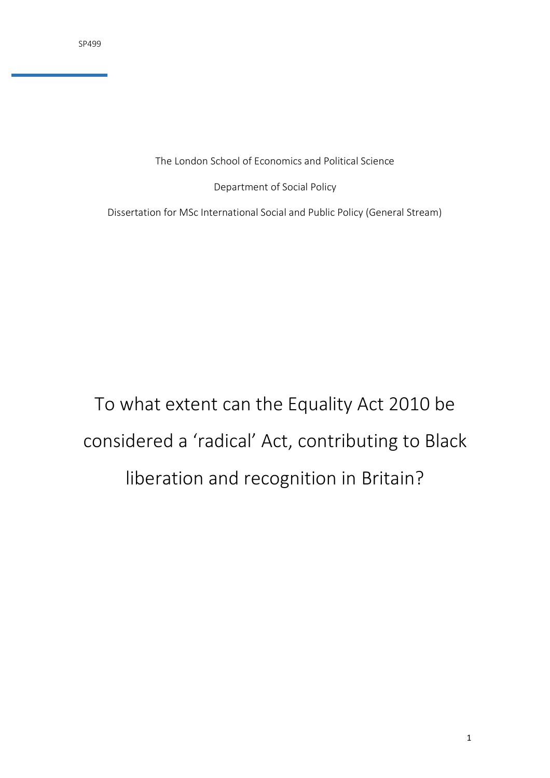The London School of Economics and Political Science

Department of Social Policy

Dissertation for MSc International Social and Public Policy (General Stream)

# To what extent can the Equality Act 2010 be considered a 'radical' Act, contributing to Black liberation and recognition in Britain?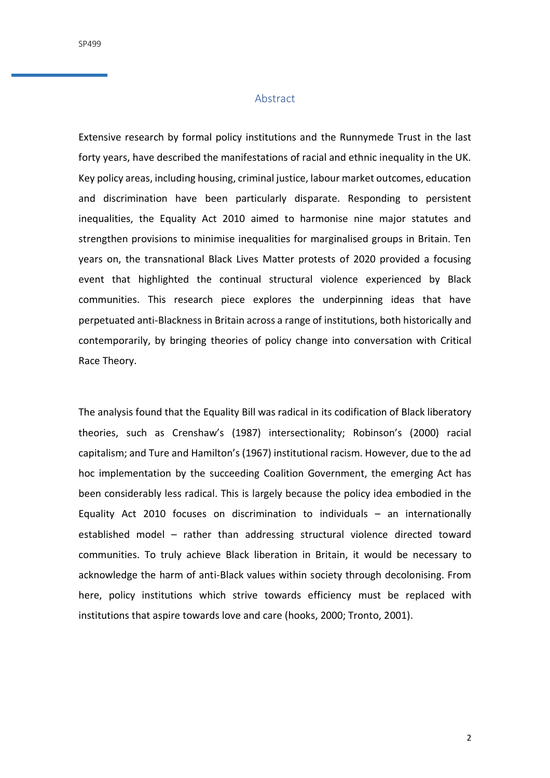## Abstract

<span id="page-1-0"></span>Extensive research by formal policy institutions and the Runnymede Trust in the last forty years, have described the manifestations of racial and ethnic inequality in the UK. Key policy areas, including housing, criminal justice, labour market outcomes, education and discrimination have been particularly disparate. Responding to persistent inequalities, the Equality Act 2010 aimed to harmonise nine major statutes and strengthen provisions to minimise inequalities for marginalised groups in Britain. Ten years on, the transnational Black Lives Matter protests of 2020 provided a focusing event that highlighted the continual structural violence experienced by Black communities. This research piece explores the underpinning ideas that have perpetuated anti-Blackness in Britain across a range of institutions, both historically and contemporarily, by bringing theories of policy change into conversation with Critical Race Theory.

The analysis found that the Equality Bill was radical in its codification of Black liberatory theories, such as Crenshaw's (1987) intersectionality; Robinson's (2000) racial capitalism; and Ture and Hamilton's (1967) institutional racism. However, due to the ad hoc implementation by the succeeding Coalition Government, the emerging Act has been considerably less radical. This is largely because the policy idea embodied in the Equality Act 2010 focuses on discrimination to individuals – an internationally established model – rather than addressing structural violence directed toward communities. To truly achieve Black liberation in Britain, it would be necessary to acknowledge the harm of anti-Black values within society through decolonising. From here, policy institutions which strive towards efficiency must be replaced with institutions that aspire towards love and care (hooks, 2000; Tronto, 2001).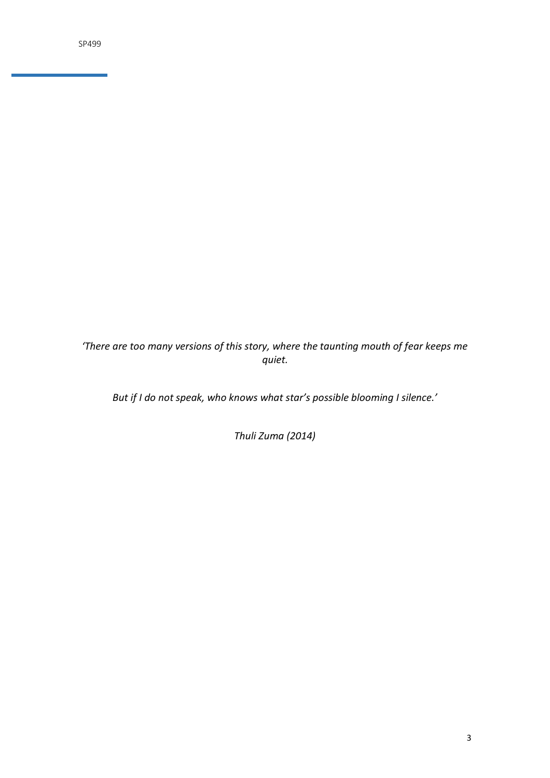*'There are too many versions of this story, where the taunting mouth of fear keeps me quiet.*

*But if I do not speak, who knows what star's possible blooming I silence.'*

*Thuli Zuma (2014)*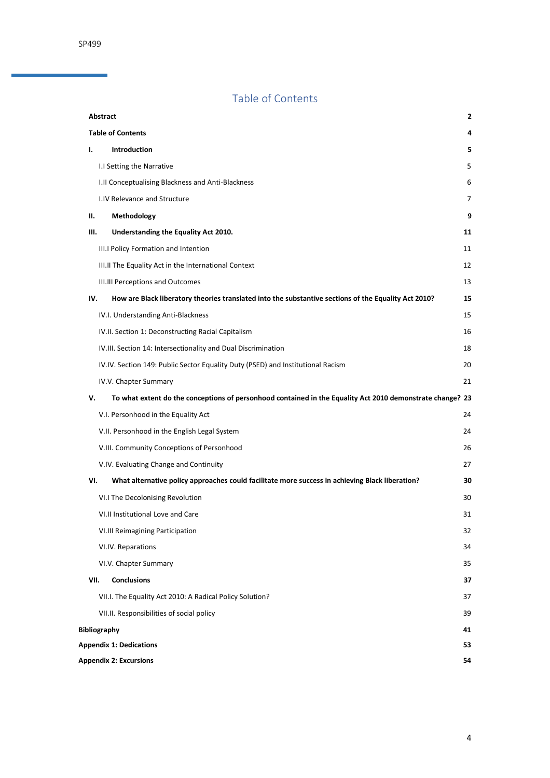# Table of Contents

<span id="page-3-0"></span>

|      | Abstract                                                                                                  | 2              |  |
|------|-----------------------------------------------------------------------------------------------------------|----------------|--|
|      | <b>Table of Contents</b>                                                                                  | 4              |  |
| Ι.   | Introduction                                                                                              | 5              |  |
|      | I.I Setting the Narrative                                                                                 | 5              |  |
|      | I.II Conceptualising Blackness and Anti-Blackness                                                         | 6              |  |
|      | I.IV Relevance and Structure                                                                              | $\overline{7}$ |  |
| н.   | Methodology                                                                                               | 9              |  |
| Ш.   | Understanding the Equality Act 2010.                                                                      | 11             |  |
|      | III.I Policy Formation and Intention                                                                      | 11             |  |
|      | III.II The Equality Act in the International Context                                                      | 12             |  |
|      | III.III Perceptions and Outcomes                                                                          | 13             |  |
| IV.  | How are Black liberatory theories translated into the substantive sections of the Equality Act 2010?      | 15             |  |
|      | IV.I. Understanding Anti-Blackness                                                                        | 15             |  |
|      | IV.II. Section 1: Deconstructing Racial Capitalism                                                        | 16             |  |
|      | IV.III. Section 14: Intersectionality and Dual Discrimination                                             | 18             |  |
|      | IV.IV. Section 149: Public Sector Equality Duty (PSED) and Institutional Racism                           | 20             |  |
|      | IV.V. Chapter Summary                                                                                     | 21             |  |
| v.   | To what extent do the conceptions of personhood contained in the Equality Act 2010 demonstrate change? 23 |                |  |
|      | V.I. Personhood in the Equality Act                                                                       | 24             |  |
|      | V.II. Personhood in the English Legal System                                                              | 24             |  |
|      | V.III. Community Conceptions of Personhood                                                                | 26             |  |
|      | V.IV. Evaluating Change and Continuity                                                                    | 27             |  |
| VI.  | What alternative policy approaches could facilitate more success in achieving Black liberation?           | 30             |  |
|      | VI.I The Decolonising Revolution                                                                          | 30             |  |
|      | VI.II Institutional Love and Care                                                                         | 31             |  |
|      | VI.III Reimagining Participation                                                                          | 32             |  |
|      | VI.IV. Reparations                                                                                        | 34             |  |
|      | VI.V. Chapter Summary                                                                                     | 35             |  |
| VII. | Conclusions                                                                                               | 37             |  |
|      | VII.I. The Equality Act 2010: A Radical Policy Solution?                                                  | 37             |  |
|      | VII.II. Responsibilities of social policy                                                                 | 39             |  |
|      | <b>Bibliography</b>                                                                                       |                |  |
|      | <b>Appendix 1: Dedications</b>                                                                            | 53<br>54       |  |
|      | <b>Appendix 2: Excursions</b>                                                                             |                |  |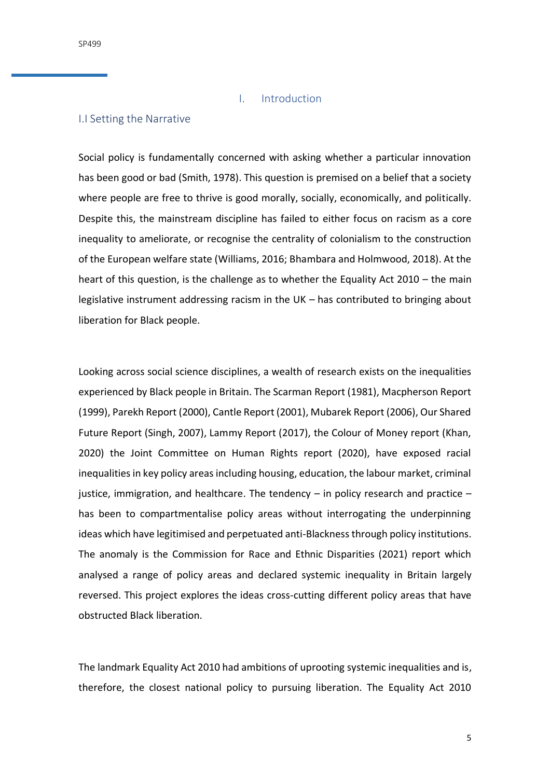#### I. Introduction

#### <span id="page-4-1"></span><span id="page-4-0"></span>I.I Setting the Narrative

Social policy is fundamentally concerned with asking whether a particular innovation has been good or bad (Smith, 1978). This question is premised on a belief that a society where people are free to thrive is good morally, socially, economically, and politically. Despite this, the mainstream discipline has failed to either focus on racism as a core inequality to ameliorate, or recognise the centrality of colonialism to the construction of the European welfare state (Williams, 2016; Bhambara and Holmwood, 2018). At the heart of this question, is the challenge as to whether the Equality Act 2010 – the main legislative instrument addressing racism in the UK – has contributed to bringing about liberation for Black people.

Looking across social science disciplines, a wealth of research exists on the inequalities experienced by Black people in Britain. The Scarman Report (1981), Macpherson Report (1999), Parekh Report (2000), Cantle Report (2001), Mubarek Report (2006), Our Shared Future Report (Singh, 2007), Lammy Report (2017), the Colour of Money report (Khan, 2020) the Joint Committee on Human Rights report (2020), have exposed racial inequalities in key policy areas including housing, education, the labour market, criminal justice, immigration, and healthcare. The tendency  $-$  in policy research and practice  $$ has been to compartmentalise policy areas without interrogating the underpinning ideas which have legitimised and perpetuated anti-Blackness through policy institutions. The anomaly is the Commission for Race and Ethnic Disparities (2021) report which analysed a range of policy areas and declared systemic inequality in Britain largely reversed. This project explores the ideas cross-cutting different policy areas that have obstructed Black liberation.

The landmark Equality Act 2010 had ambitions of uprooting systemic inequalities and is, therefore, the closest national policy to pursuing liberation. The Equality Act 2010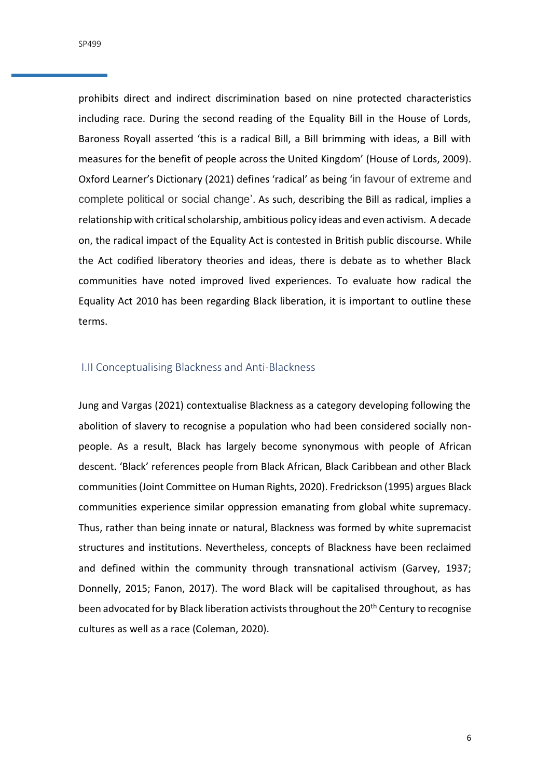prohibits direct and indirect discrimination based on nine protected characteristics including race. During the second reading of the Equality Bill in the House of Lords, Baroness Royall asserted 'this is a radical Bill, a Bill brimming with ideas, a Bill with measures for the benefit of people across the United Kingdom' (House of Lords, 2009). Oxford Learner's Dictionary (2021) defines 'radical' as being 'in favour of extreme and complete political or social change'. As such, describing the Bill as radical, implies a relationship with critical scholarship, ambitious policy ideas and even activism. A decade on, the radical impact of the Equality Act is contested in British public discourse. While the Act codified liberatory theories and ideas, there is debate as to whether Black communities have noted improved lived experiences. To evaluate how radical the Equality Act 2010 has been regarding Black liberation, it is important to outline these terms.

# <span id="page-5-0"></span>I.II Conceptualising Blackness and Anti-Blackness

Jung and Vargas (2021) contextualise Blackness as a category developing following the abolition of slavery to recognise a population who had been considered socially nonpeople. As a result, Black has largely become synonymous with people of African descent. 'Black' references people from Black African, Black Caribbean and other Black communities (Joint Committee on Human Rights, 2020). Fredrickson (1995) argues Black communities experience similar oppression emanating from global white supremacy. Thus, rather than being innate or natural, Blackness was formed by white supremacist structures and institutions. Nevertheless, concepts of Blackness have been reclaimed and defined within the community through transnational activism (Garvey, 1937; Donnelly, 2015; Fanon, 2017). The word Black will be capitalised throughout, as has been advocated for by Black liberation activists throughout the 20<sup>th</sup> Century to recognise cultures as well as a race (Coleman, 2020).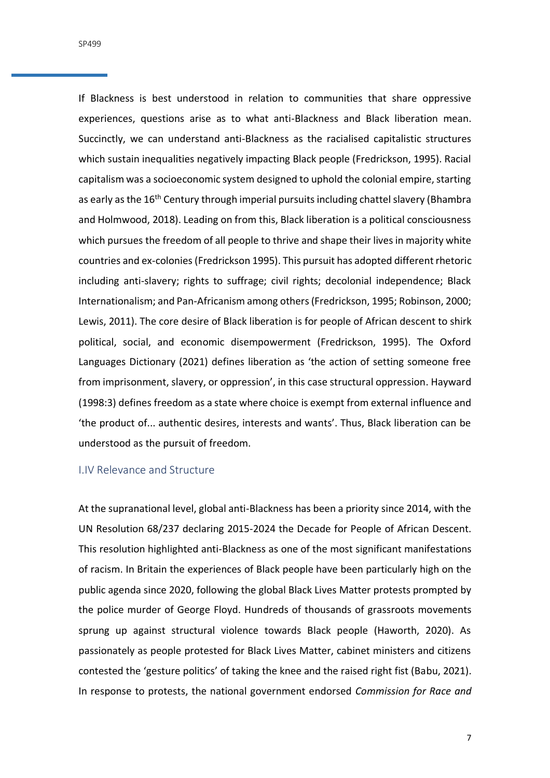SP499

If Blackness is best understood in relation to communities that share oppressive experiences, questions arise as to what anti-Blackness and Black liberation mean. Succinctly, we can understand anti-Blackness as the racialised capitalistic structures which sustain inequalities negatively impacting Black people (Fredrickson, 1995). Racial capitalism was a socioeconomic system designed to uphold the colonial empire, starting as early as the 16<sup>th</sup> Century through imperial pursuits including chattel slavery (Bhambra and Holmwood, 2018). Leading on from this, Black liberation is a political consciousness which pursues the freedom of all people to thrive and shape their lives in majority white countries and ex-colonies (Fredrickson 1995). This pursuit has adopted different rhetoric including anti-slavery; rights to suffrage; civil rights; decolonial independence; Black Internationalism; and Pan-Africanism among others (Fredrickson, 1995; Robinson, 2000; Lewis, 2011). The core desire of Black liberation is for people of African descent to shirk political, social, and economic disempowerment (Fredrickson, 1995). The Oxford Languages Dictionary (2021) defines liberation as 'the action of setting someone free from imprisonment, slavery, or oppression', in this case structural oppression. Hayward (1998:3) defines freedom as a state where choice is exempt from external influence and 'the product of... authentic desires, interests and wants'. Thus, Black liberation can be understood as the pursuit of freedom.

# <span id="page-6-0"></span>I.IV Relevance and Structure

At the supranational level, global anti-Blackness has been a priority since 2014, with the UN Resolution 68/237 declaring 2015-2024 the Decade for People of African Descent. This resolution highlighted anti-Blackness as one of the most significant manifestations of racism. In Britain the experiences of Black people have been particularly high on the public agenda since 2020, following the global Black Lives Matter protests prompted by the police murder of George Floyd. Hundreds of thousands of grassroots movements sprung up against structural violence towards Black people (Haworth, 2020). As passionately as people protested for Black Lives Matter, cabinet ministers and citizens contested the 'gesture politics' of taking the knee and the raised right fist (Babu, 2021). In response to protests, the national government endorsed *Commission for Race and* 

7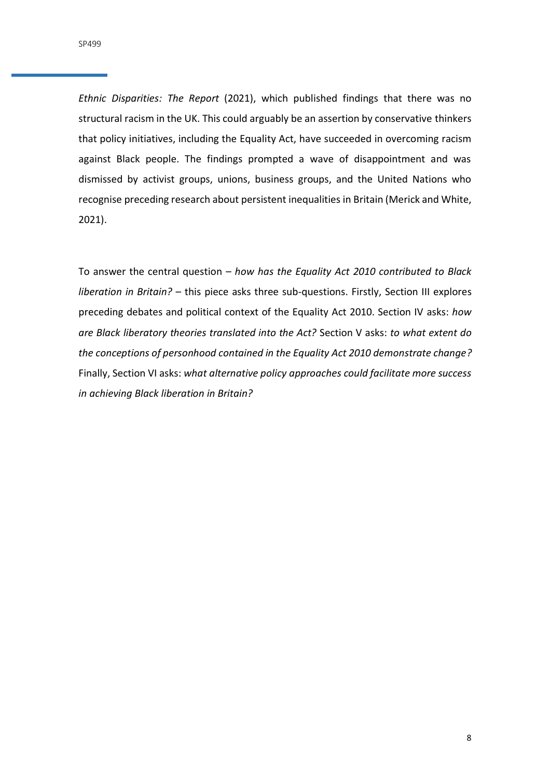*Ethnic Disparities: The Report* (2021), which published findings that there was no structural racism in the UK. This could arguably be an assertion by conservative thinkers that policy initiatives, including the Equality Act, have succeeded in overcoming racism against Black people. The findings prompted a wave of disappointment and was dismissed by activist groups, unions, business groups, and the United Nations who recognise preceding research about persistent inequalities in Britain (Merick and White, 2021).

To answer the central question – *how has the Equality Act 2010 contributed to Black liberation in Britain?* – this piece asks three sub-questions. Firstly, Section III explores preceding debates and political context of the Equality Act 2010. Section IV asks: *how are Black liberatory theories translated into the Act?* Section V asks: *to what extent do the conceptions of personhood contained in the Equality Act 2010 demonstrate change?* Finally, Section VI asks: *what alternative policy approaches could facilitate more success in achieving Black liberation in Britain?*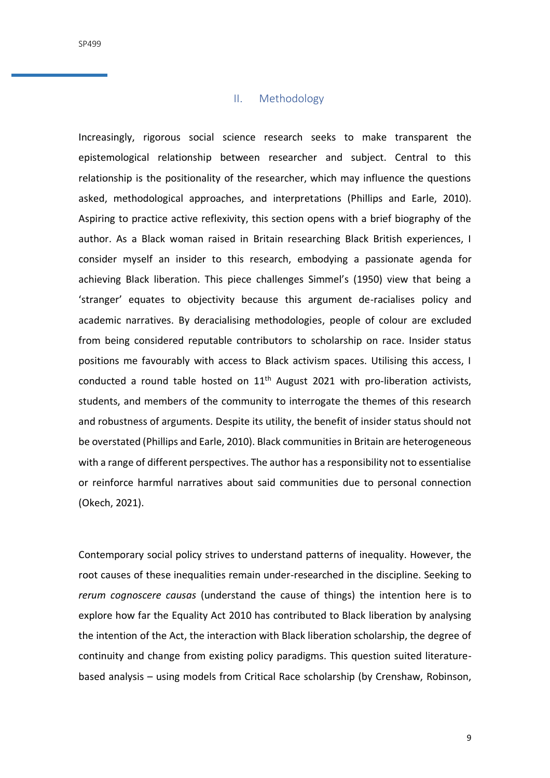## II. Methodology

<span id="page-8-0"></span>Increasingly, rigorous social science research seeks to make transparent the epistemological relationship between researcher and subject. Central to this relationship is the positionality of the researcher, which may influence the questions asked, methodological approaches, and interpretations (Phillips and Earle, 2010). Aspiring to practice active reflexivity, this section opens with a brief biography of the author. As a Black woman raised in Britain researching Black British experiences, I consider myself an insider to this research, embodying a passionate agenda for achieving Black liberation. This piece challenges Simmel's (1950) view that being a 'stranger' equates to objectivity because this argument de-racialises policy and academic narratives. By deracialising methodologies, people of colour are excluded from being considered reputable contributors to scholarship on race. Insider status positions me favourably with access to Black activism spaces. Utilising this access, I conducted a round table hosted on  $11<sup>th</sup>$  August 2021 with pro-liberation activists, students, and members of the community to interrogate the themes of this research and robustness of arguments. Despite its utility, the benefit of insider status should not be overstated (Phillips and Earle, 2010). Black communities in Britain are heterogeneous with a range of different perspectives. The author has a responsibility not to essentialise or reinforce harmful narratives about said communities due to personal connection (Okech, 2021).

Contemporary social policy strives to understand patterns of inequality. However, the root causes of these inequalities remain under-researched in the discipline. Seeking to *rerum cognoscere causas* (understand the cause of things) the intention here is to explore how far the Equality Act 2010 has contributed to Black liberation by analysing the intention of the Act, the interaction with Black liberation scholarship, the degree of continuity and change from existing policy paradigms. This question suited literaturebased analysis – using models from Critical Race scholarship (by Crenshaw, Robinson,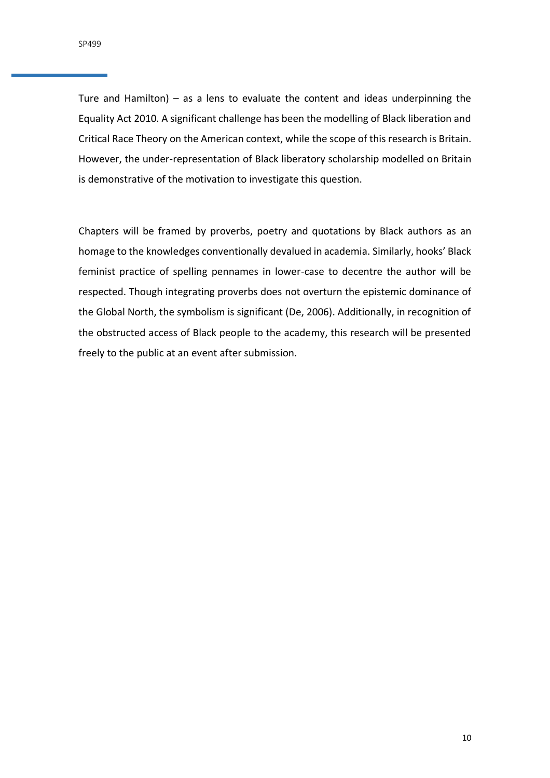Ture and Hamilton) – as a lens to evaluate the content and ideas underpinning the Equality Act 2010. A significant challenge has been the modelling of Black liberation and Critical Race Theory on the American context, while the scope of this research is Britain. However, the under-representation of Black liberatory scholarship modelled on Britain is demonstrative of the motivation to investigate this question.

Chapters will be framed by proverbs, poetry and quotations by Black authors as an homage to the knowledges conventionally devalued in academia. Similarly, hooks' Black feminist practice of spelling pennames in lower-case to decentre the author will be respected. Though integrating proverbs does not overturn the epistemic dominance of the Global North, the symbolism is significant (De, 2006). Additionally, in recognition of the obstructed access of Black people to the academy, this research will be presented freely to the public at an event after submission.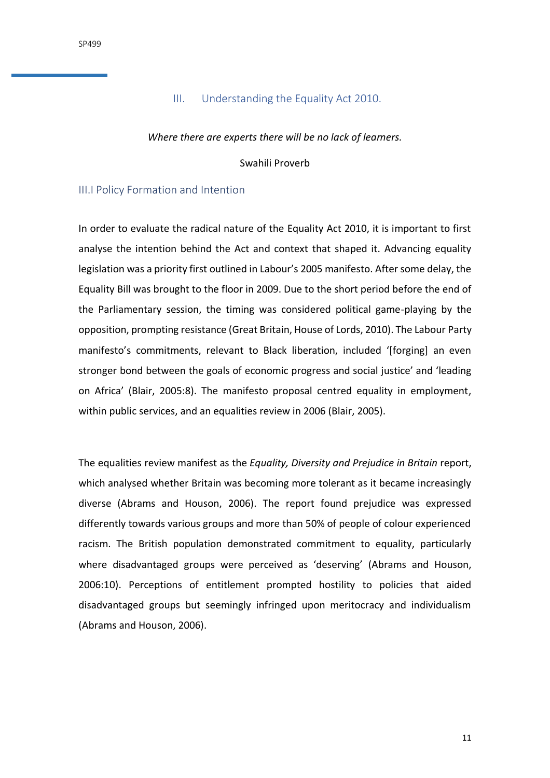# III. Understanding the Equality Act 2010.

#### <span id="page-10-0"></span>*Where there are experts there will be no lack of learners.*

Swahili Proverb

## <span id="page-10-1"></span>III.I Policy Formation and Intention

In order to evaluate the radical nature of the Equality Act 2010, it is important to first analyse the intention behind the Act and context that shaped it. Advancing equality legislation was a priority first outlined in Labour's 2005 manifesto. After some delay, the Equality Bill was brought to the floor in 2009. Due to the short period before the end of the Parliamentary session, the timing was considered political game-playing by the opposition, prompting resistance (Great Britain, House of Lords, 2010). The Labour Party manifesto's commitments, relevant to Black liberation, included '[forging] an even stronger bond between the goals of economic progress and social justice' and 'leading on Africa' (Blair, 2005:8). The manifesto proposal centred equality in employment, within public services, and an equalities review in 2006 (Blair, 2005).

The equalities review manifest as the *Equality, Diversity and Prejudice in Britain* report, which analysed whether Britain was becoming more tolerant as it became increasingly diverse (Abrams and Houson, 2006). The report found prejudice was expressed differently towards various groups and more than 50% of people of colour experienced racism. The British population demonstrated commitment to equality, particularly where disadvantaged groups were perceived as 'deserving' (Abrams and Houson, 2006:10). Perceptions of entitlement prompted hostility to policies that aided disadvantaged groups but seemingly infringed upon meritocracy and individualism (Abrams and Houson, 2006).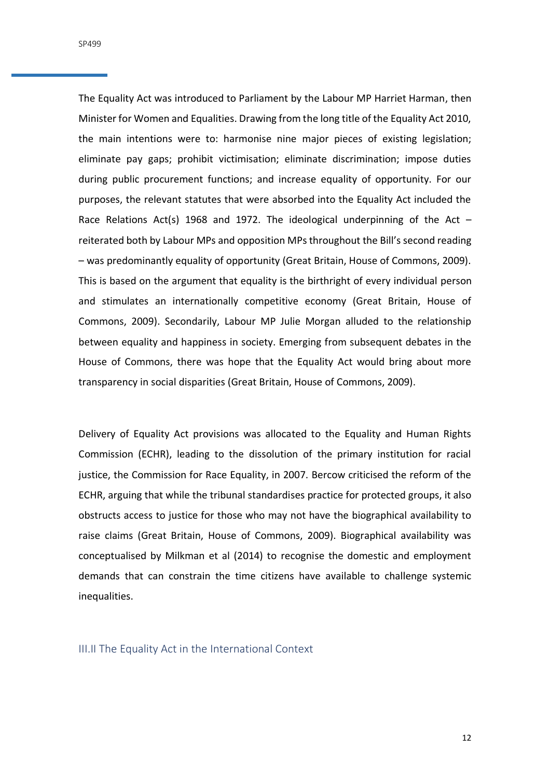The Equality Act was introduced to Parliament by the Labour MP Harriet Harman, then Minister for Women and Equalities. Drawing from the long title of the Equality Act 2010, the main intentions were to: harmonise nine major pieces of existing legislation; eliminate pay gaps; prohibit victimisation; eliminate discrimination; impose duties during public procurement functions; and increase equality of opportunity. For our purposes, the relevant statutes that were absorbed into the Equality Act included the Race Relations Act(s) 1968 and 1972. The ideological underpinning of the Act  $$ reiterated both by Labour MPs and opposition MPs throughout the Bill's second reading – was predominantly equality of opportunity (Great Britain, House of Commons, 2009). This is based on the argument that equality is the birthright of every individual person and stimulates an internationally competitive economy (Great Britain, House of Commons, 2009). Secondarily, Labour MP Julie Morgan alluded to the relationship between equality and happiness in society. Emerging from subsequent debates in the House of Commons, there was hope that the Equality Act would bring about more transparency in social disparities (Great Britain, House of Commons, 2009).

Delivery of Equality Act provisions was allocated to the Equality and Human Rights Commission (ECHR), leading to the dissolution of the primary institution for racial justice, the Commission for Race Equality, in 2007. Bercow criticised the reform of the ECHR, arguing that while the tribunal standardises practice for protected groups, it also obstructs access to justice for those who may not have the biographical availability to raise claims (Great Britain, House of Commons, 2009). Biographical availability was conceptualised by Milkman et al (2014) to recognise the domestic and employment demands that can constrain the time citizens have available to challenge systemic inequalities.

<span id="page-11-0"></span>III.II The Equality Act in the International Context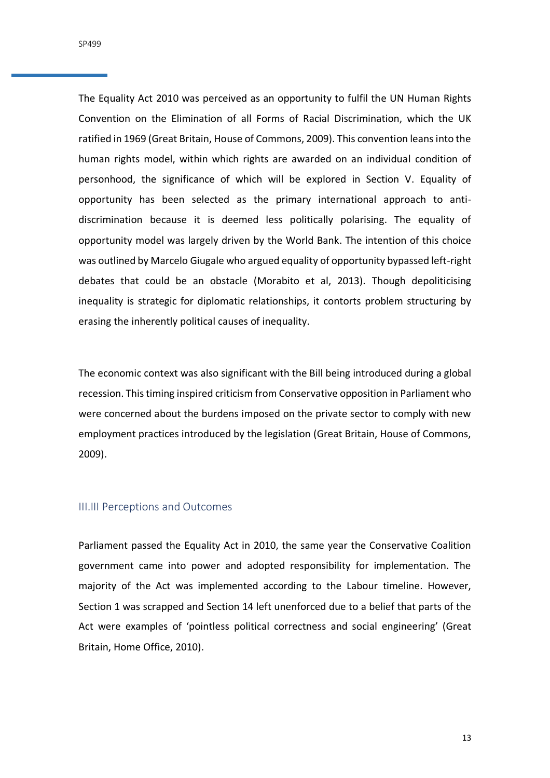SP499

The Equality Act 2010 was perceived as an opportunity to fulfil the UN Human Rights Convention on the Elimination of all Forms of Racial Discrimination, which the UK ratified in 1969 (Great Britain, House of Commons, 2009). This convention leans into the human rights model, within which rights are awarded on an individual condition of personhood, the significance of which will be explored in Section V. Equality of opportunity has been selected as the primary international approach to antidiscrimination because it is deemed less politically polarising. The equality of opportunity model was largely driven by the World Bank. The intention of this choice was outlined by Marcelo Giugale who argued equality of opportunity bypassed left-right debates that could be an obstacle (Morabito et al, 2013). Though depoliticising inequality is strategic for diplomatic relationships, it contorts problem structuring by erasing the inherently political causes of inequality.

The economic context was also significant with the Bill being introduced during a global recession. This timing inspired criticism from Conservative opposition in Parliament who were concerned about the burdens imposed on the private sector to comply with new employment practices introduced by the legislation (Great Britain, House of Commons, 2009).

#### <span id="page-12-0"></span>III.III Perceptions and Outcomes

Parliament passed the Equality Act in 2010, the same year the Conservative Coalition government came into power and adopted responsibility for implementation. The majority of the Act was implemented according to the Labour timeline. However, Section 1 was scrapped and Section 14 left unenforced due to a belief that parts of the Act were examples of 'pointless political correctness and social engineering' (Great Britain, Home Office, 2010).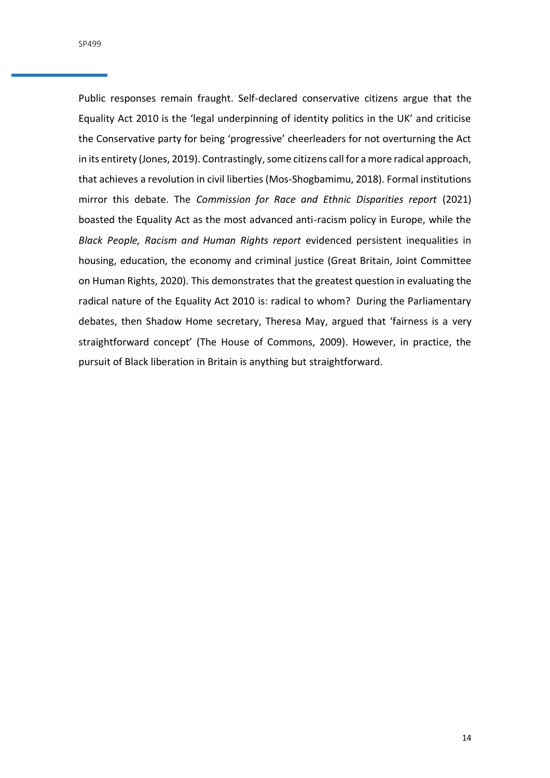Public responses remain fraught. Self-declared conservative citizens argue that the Equality Act 2010 is the 'legal underpinning of identity politics in the UK' and criticise the Conservative party for being 'progressive' cheerleaders for not overturning the Act in its entirety (Jones, 2019). Contrastingly, some citizens call for a more radical approach, that achieves a revolution in civil liberties (Mos-Shogbamimu, 2018). Formal institutions mirror this debate. The *Commission for Race and Ethnic Disparities report* (2021) boasted the Equality Act as the most advanced anti-racism policy in Europe, while the *Black People, Racism and Human Rights report* evidenced persistent inequalities in housing, education, the economy and criminal justice (Great Britain, Joint Committee on Human Rights, 2020). This demonstrates that the greatest question in evaluating the radical nature of the Equality Act 2010 is: radical to whom? During the Parliamentary debates, then Shadow Home secretary, Theresa May, argued that 'fairness is a very straightforward concept' (The House of Commons, 2009). However, in practice, the pursuit of Black liberation in Britain is anything but straightforward.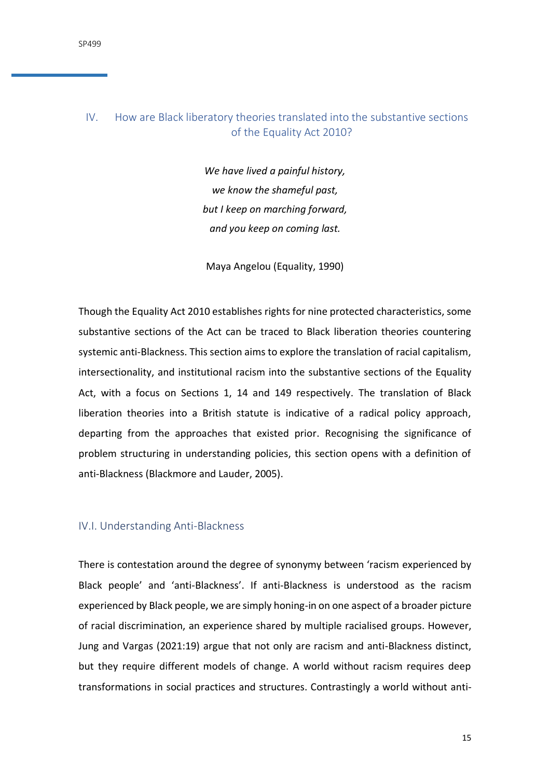# <span id="page-14-0"></span>IV. How are Black liberatory theories translated into the substantive sections of the Equality Act 2010?

*We have lived a painful history, we know the shameful past, but I keep on marching forward, and you keep on coming last.*

Maya Angelou (Equality, 1990)

Though the Equality Act 2010 establishes rights for nine protected characteristics, some substantive sections of the Act can be traced to Black liberation theories countering systemic anti-Blackness. This section aims to explore the translation of racial capitalism, intersectionality, and institutional racism into the substantive sections of the Equality Act, with a focus on Sections 1, 14 and 149 respectively. The translation of Black liberation theories into a British statute is indicative of a radical policy approach, departing from the approaches that existed prior. Recognising the significance of problem structuring in understanding policies, this section opens with a definition of anti-Blackness (Blackmore and Lauder, 2005).

#### <span id="page-14-1"></span>IV.I. Understanding Anti-Blackness

There is contestation around the degree of synonymy between 'racism experienced by Black people' and 'anti-Blackness'. If anti-Blackness is understood as the racism experienced by Black people, we are simply honing-in on one aspect of a broader picture of racial discrimination, an experience shared by multiple racialised groups. However, Jung and Vargas (2021:19) argue that not only are racism and anti-Blackness distinct, but they require different models of change. A world without racism requires deep transformations in social practices and structures. Contrastingly a world without anti-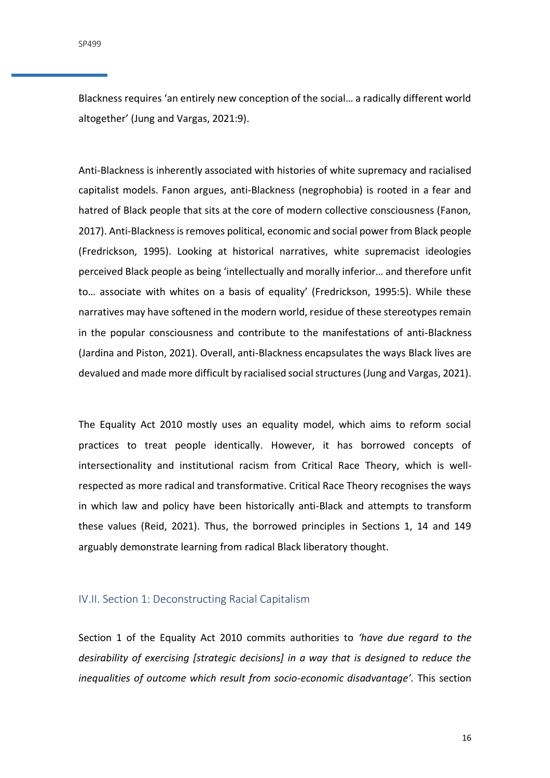Blackness requires 'an entirely new conception of the social… a radically different world altogether' (Jung and Vargas, 2021:9).

Anti-Blackness is inherently associated with histories of white supremacy and racialised capitalist models. Fanon argues, anti-Blackness (negrophobia) is rooted in a fear and hatred of Black people that sits at the core of modern collective consciousness (Fanon, 2017). Anti-Blackness is removes political, economic and social power from Black people (Fredrickson, 1995). Looking at historical narratives, white supremacist ideologies perceived Black people as being 'intellectually and morally inferior… and therefore unfit to… associate with whites on a basis of equality' (Fredrickson, 1995:5). While these narratives may have softened in the modern world, residue of these stereotypes remain in the popular consciousness and contribute to the manifestations of anti-Blackness (Jardina and Piston, 2021). Overall, anti-Blackness encapsulates the ways Black lives are devalued and made more difficult by racialised social structures (Jung and Vargas, 2021).

The Equality Act 2010 mostly uses an equality model, which aims to reform social practices to treat people identically. However, it has borrowed concepts of intersectionality and institutional racism from Critical Race Theory, which is wellrespected as more radical and transformative. Critical Race Theory recognises the ways in which law and policy have been historically anti-Black and attempts to transform these values (Reid, 2021). Thus, the borrowed principles in Sections 1, 14 and 149 arguably demonstrate learning from radical Black liberatory thought.

## <span id="page-15-0"></span>IV.II. Section 1: Deconstructing Racial Capitalism

Section 1 of the Equality Act 2010 commits authorities to *'have due regard to the desirability of exercising [strategic decisions] in a way that is designed to reduce the inequalities of outcome which result from socio-economic disadvantage'.* This section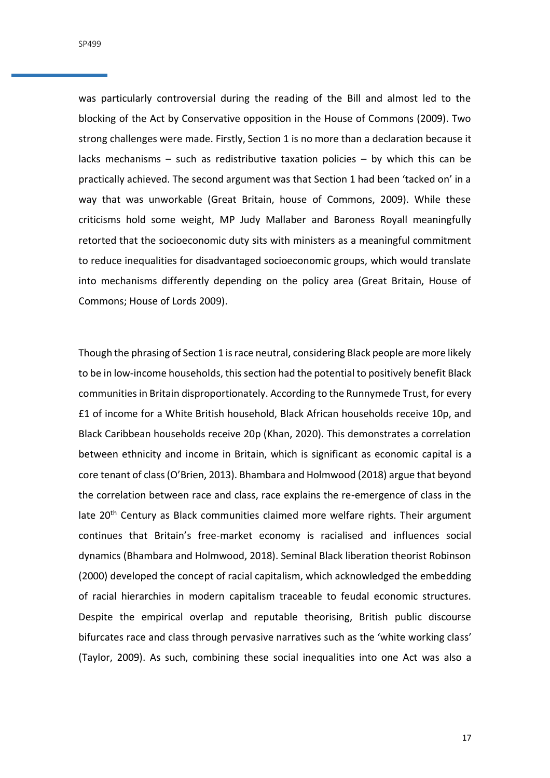SP499

was particularly controversial during the reading of the Bill and almost led to the blocking of the Act by Conservative opposition in the House of Commons (2009). Two strong challenges were made. Firstly, Section 1 is no more than a declaration because it lacks mechanisms – such as redistributive taxation policies – by which this can be practically achieved. The second argument was that Section 1 had been 'tacked on' in a way that was unworkable (Great Britain, house of Commons, 2009). While these criticisms hold some weight, MP Judy Mallaber and Baroness Royall meaningfully retorted that the socioeconomic duty sits with ministers as a meaningful commitment to reduce inequalities for disadvantaged socioeconomic groups, which would translate into mechanisms differently depending on the policy area (Great Britain, House of Commons; House of Lords 2009).

Though the phrasing of Section 1 is race neutral, considering Black people are more likely to be in low-income households, this section had the potential to positively benefit Black communities in Britain disproportionately. According to the Runnymede Trust, for every £1 of income for a White British household, Black African households receive 10p, and Black Caribbean households receive 20p (Khan, 2020). This demonstrates a correlation between ethnicity and income in Britain, which is significant as economic capital is a core tenant of class (O'Brien, 2013). Bhambara and Holmwood (2018) argue that beyond the correlation between race and class, race explains the re-emergence of class in the late 20<sup>th</sup> Century as Black communities claimed more welfare rights. Their argument continues that Britain's free-market economy is racialised and influences social dynamics (Bhambara and Holmwood, 2018). Seminal Black liberation theorist Robinson (2000) developed the concept of racial capitalism, which acknowledged the embedding of racial hierarchies in modern capitalism traceable to feudal economic structures. Despite the empirical overlap and reputable theorising, British public discourse bifurcates race and class through pervasive narratives such as the 'white working class' (Taylor, 2009). As such, combining these social inequalities into one Act was also a

17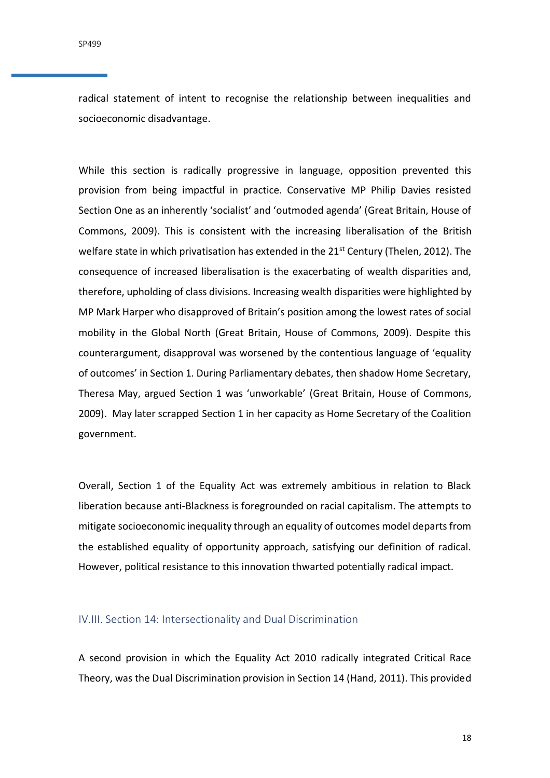radical statement of intent to recognise the relationship between inequalities and socioeconomic disadvantage.

While this section is radically progressive in language, opposition prevented this provision from being impactful in practice. Conservative MP Philip Davies resisted Section One as an inherently 'socialist' and 'outmoded agenda' (Great Britain, House of Commons, 2009). This is consistent with the increasing liberalisation of the British welfare state in which privatisation has extended in the 21<sup>st</sup> Century (Thelen, 2012). The consequence of increased liberalisation is the exacerbating of wealth disparities and, therefore, upholding of class divisions. Increasing wealth disparities were highlighted by MP Mark Harper who disapproved of Britain's position among the lowest rates of social mobility in the Global North (Great Britain, House of Commons, 2009). Despite this counterargument, disapproval was worsened by the contentious language of 'equality of outcomes' in Section 1. During Parliamentary debates, then shadow Home Secretary, Theresa May, argued Section 1 was 'unworkable' (Great Britain, House of Commons, 2009). May later scrapped Section 1 in her capacity as Home Secretary of the Coalition government.

Overall, Section 1 of the Equality Act was extremely ambitious in relation to Black liberation because anti-Blackness is foregrounded on racial capitalism. The attempts to mitigate socioeconomic inequality through an equality of outcomes model departs from the established equality of opportunity approach, satisfying our definition of radical. However, political resistance to this innovation thwarted potentially radical impact.

## <span id="page-17-0"></span>IV.III. Section 14: Intersectionality and Dual Discrimination

A second provision in which the Equality Act 2010 radically integrated Critical Race Theory, was the Dual Discrimination provision in Section 14 (Hand, 2011). This provided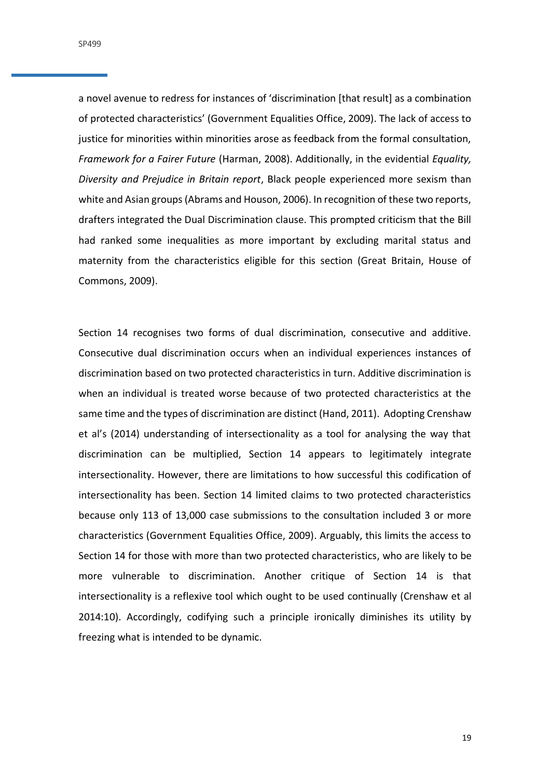SP499

a novel avenue to redress for instances of 'discrimination [that result] as a combination of protected characteristics' (Government Equalities Office, 2009). The lack of access to justice for minorities within minorities arose as feedback from the formal consultation, *Framework for a Fairer Future* (Harman, 2008). Additionally, in the evidential *Equality, Diversity and Prejudice in Britain report*, Black people experienced more sexism than white and Asian groups (Abrams and Houson, 2006). In recognition of these two reports, drafters integrated the Dual Discrimination clause. This prompted criticism that the Bill had ranked some inequalities as more important by excluding marital status and maternity from the characteristics eligible for this section (Great Britain, House of Commons, 2009).

Section 14 recognises two forms of dual discrimination, consecutive and additive. Consecutive dual discrimination occurs when an individual experiences instances of discrimination based on two protected characteristics in turn. Additive discrimination is when an individual is treated worse because of two protected characteristics at the same time and the types of discrimination are distinct (Hand, 2011). Adopting Crenshaw et al's (2014) understanding of intersectionality as a tool for analysing the way that discrimination can be multiplied, Section 14 appears to legitimately integrate intersectionality. However, there are limitations to how successful this codification of intersectionality has been. Section 14 limited claims to two protected characteristics because only 113 of 13,000 case submissions to the consultation included 3 or more characteristics (Government Equalities Office, 2009). Arguably, this limits the access to Section 14 for those with more than two protected characteristics, who are likely to be more vulnerable to discrimination. Another critique of Section 14 is that intersectionality is a reflexive tool which ought to be used continually (Crenshaw et al 2014:10). Accordingly, codifying such a principle ironically diminishes its utility by freezing what is intended to be dynamic.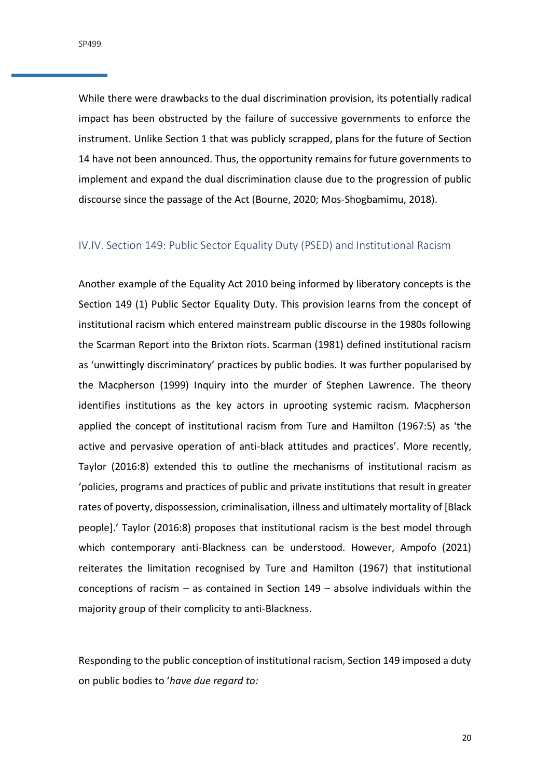SP499

While there were drawbacks to the dual discrimination provision, its potentially radical impact has been obstructed by the failure of successive governments to enforce the instrument. Unlike Section 1 that was publicly scrapped, plans for the future of Section 14 have not been announced. Thus, the opportunity remains for future governments to implement and expand the dual discrimination clause due to the progression of public discourse since the passage of the Act (Bourne, 2020; Mos-Shogbamimu, 2018).

## <span id="page-19-0"></span>IV.IV. Section 149: Public Sector Equality Duty (PSED) and Institutional Racism

Another example of the Equality Act 2010 being informed by liberatory concepts is the Section 149 (1) Public Sector Equality Duty. This provision learns from the concept of institutional racism which entered mainstream public discourse in the 1980s following the Scarman Report into the Brixton riots. Scarman (1981) defined institutional racism as 'unwittingly discriminatory' practices by public bodies. It was further popularised by the Macpherson (1999) Inquiry into the murder of Stephen Lawrence. The theory identifies institutions as the key actors in uprooting systemic racism. Macpherson applied the concept of institutional racism from Ture and Hamilton (1967:5) as 'the active and pervasive operation of anti-black attitudes and practices'. More recently, Taylor (2016:8) extended this to outline the mechanisms of institutional racism as 'policies, programs and practices of public and private institutions that result in greater rates of poverty, dispossession, criminalisation, illness and ultimately mortality of [Black people].' Taylor (2016:8) proposes that institutional racism is the best model through which contemporary anti-Blackness can be understood. However, Ampofo (2021) reiterates the limitation recognised by Ture and Hamilton (1967) that institutional conceptions of racism – as contained in Section 149 – absolve individuals within the majority group of their complicity to anti-Blackness.

Responding to the public conception of institutional racism, Section 149 imposed a duty on public bodies to '*have due regard to:*

20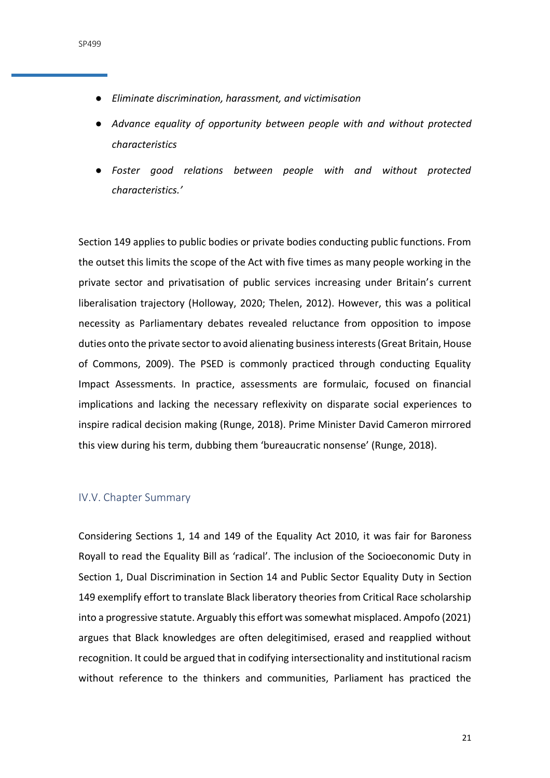- *Eliminate discrimination, harassment, and victimisation*
- *Advance equality of opportunity between people with and without protected characteristics*
- *Foster good relations between people with and without protected characteristics.'*

Section 149 applies to public bodies or private bodies conducting public functions. From the outset this limits the scope of the Act with five times as many people working in the private sector and privatisation of public services increasing under Britain's current liberalisation trajectory (Holloway, 2020; Thelen, 2012). However, this was a political necessity as Parliamentary debates revealed reluctance from opposition to impose duties onto the private sector to avoid alienating business interests (Great Britain, House of Commons, 2009). The PSED is commonly practiced through conducting Equality Impact Assessments. In practice, assessments are formulaic, focused on financial implications and lacking the necessary reflexivity on disparate social experiences to inspire radical decision making (Runge, 2018). Prime Minister David Cameron mirrored this view during his term, dubbing them 'bureaucratic nonsense' (Runge, 2018).

#### <span id="page-20-0"></span>IV.V. Chapter Summary

Considering Sections 1, 14 and 149 of the Equality Act 2010, it was fair for Baroness Royall to read the Equality Bill as 'radical'. The inclusion of the Socioeconomic Duty in Section 1, Dual Discrimination in Section 14 and Public Sector Equality Duty in Section 149 exemplify effort to translate Black liberatory theories from Critical Race scholarship into a progressive statute. Arguably this effort was somewhat misplaced. Ampofo (2021) argues that Black knowledges are often delegitimised, erased and reapplied without recognition. It could be argued that in codifying intersectionality and institutional racism without reference to the thinkers and communities, Parliament has practiced the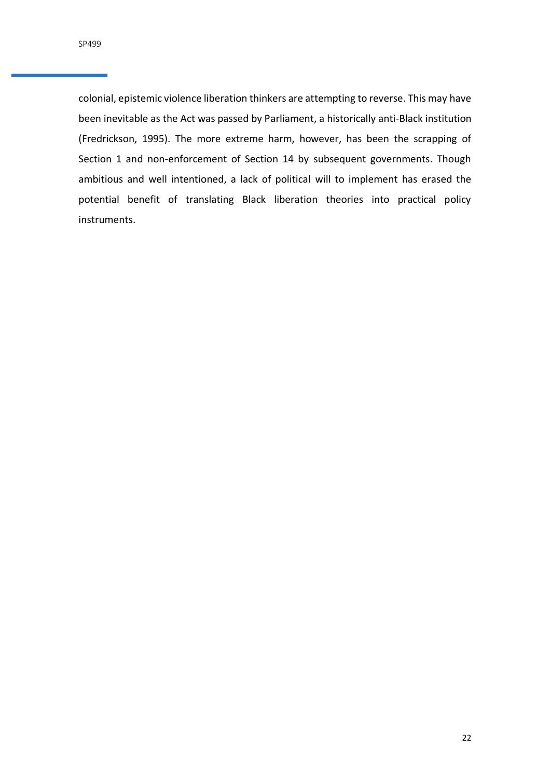colonial, epistemic violence liberation thinkers are attempting to reverse. This may have been inevitable as the Act was passed by Parliament, a historically anti-Black institution (Fredrickson, 1995). The more extreme harm, however, has been the scrapping of Section 1 and non-enforcement of Section 14 by subsequent governments. Though ambitious and well intentioned, a lack of political will to implement has erased the potential benefit of translating Black liberation theories into practical policy instruments.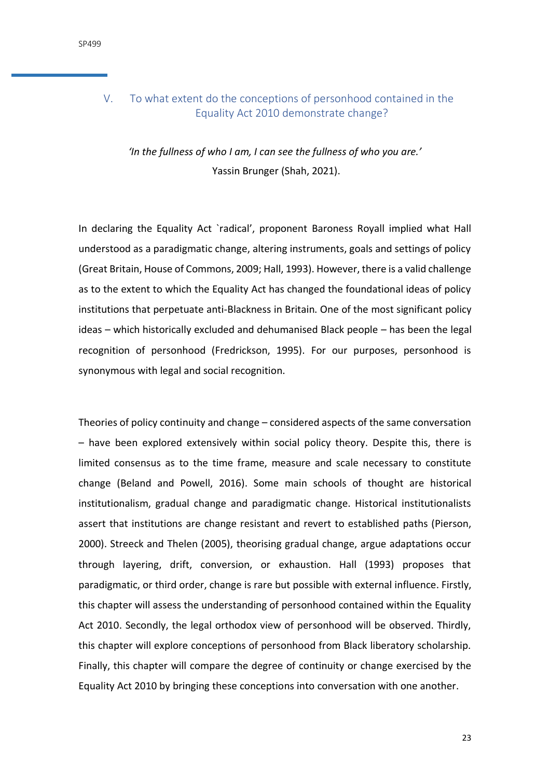# <span id="page-22-0"></span>V. To what extent do the conceptions of personhood contained in the Equality Act 2010 demonstrate change?

*'In the fullness of who I am, I can see the fullness of who you are.'* Yassin Brunger (Shah, 2021).

In declaring the Equality Act `radical', proponent Baroness Royall implied what Hall understood as a paradigmatic change, altering instruments, goals and settings of policy (Great Britain, House of Commons, 2009; Hall, 1993). However, there is a valid challenge as to the extent to which the Equality Act has changed the foundational ideas of policy institutions that perpetuate anti-Blackness in Britain. One of the most significant policy ideas – which historically excluded and dehumanised Black people – has been the legal recognition of personhood (Fredrickson, 1995). For our purposes, personhood is synonymous with legal and social recognition.

Theories of policy continuity and change – considered aspects of the same conversation – have been explored extensively within social policy theory. Despite this, there is limited consensus as to the time frame, measure and scale necessary to constitute change (Beland and Powell, 2016). Some main schools of thought are historical institutionalism, gradual change and paradigmatic change. Historical institutionalists assert that institutions are change resistant and revert to established paths (Pierson, 2000). Streeck and Thelen (2005), theorising gradual change, argue adaptations occur through layering, drift, conversion, or exhaustion. Hall (1993) proposes that paradigmatic, or third order, change is rare but possible with external influence. Firstly, this chapter will assess the understanding of personhood contained within the Equality Act 2010. Secondly, the legal orthodox view of personhood will be observed. Thirdly, this chapter will explore conceptions of personhood from Black liberatory scholarship. Finally, this chapter will compare the degree of continuity or change exercised by the Equality Act 2010 by bringing these conceptions into conversation with one another.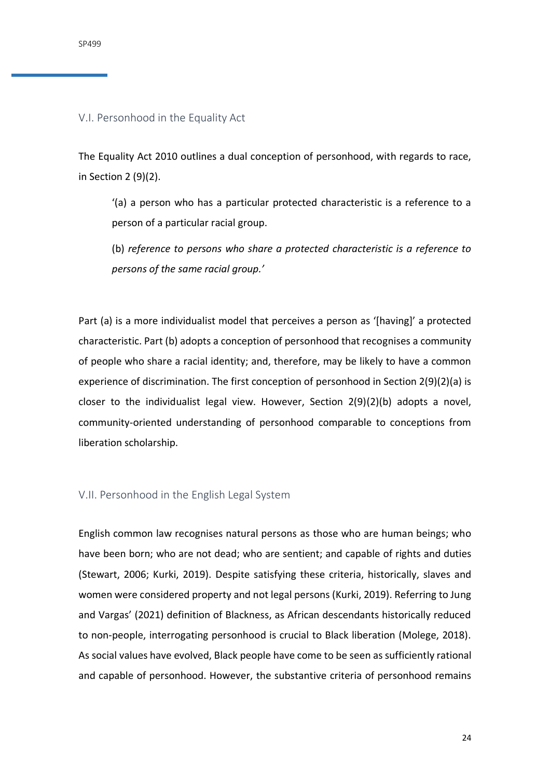# <span id="page-23-0"></span>V.I. Personhood in the Equality Act

The Equality Act 2010 outlines a dual conception of personhood, with regards to race, in Section 2 (9)(2).

'(a) a person who has a particular protected characteristic is a reference to a person of a particular racial group.

(b) *reference to persons who share a protected characteristic is a reference to persons of the same racial group.'*

Part (a) is a more individualist model that perceives a person as '[having]' a protected characteristic. Part (b) adopts a conception of personhood that recognises a community of people who share a racial identity; and, therefore, may be likely to have a common experience of discrimination. The first conception of personhood in Section 2(9)(2)(a) is closer to the individualist legal view. However, Section 2(9)(2)(b) adopts a novel, community-oriented understanding of personhood comparable to conceptions from liberation scholarship.

## <span id="page-23-1"></span>V.II. Personhood in the English Legal System

English common law recognises natural persons as those who are human beings; who have been born; who are not dead; who are sentient; and capable of rights and duties (Stewart, 2006; Kurki, 2019). Despite satisfying these criteria, historically, slaves and women were considered property and not legal persons (Kurki, 2019). Referring to Jung and Vargas' (2021) definition of Blackness, as African descendants historically reduced to non-people, interrogating personhood is crucial to Black liberation (Molege, 2018). As social values have evolved, Black people have come to be seen as sufficiently rational and capable of personhood. However, the substantive criteria of personhood remains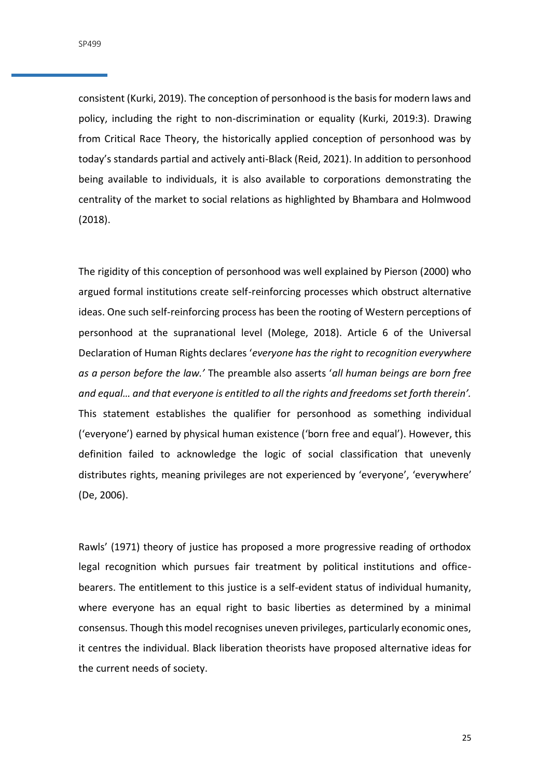consistent (Kurki, 2019). The conception of personhood is the basis for modern laws and policy, including the right to non-discrimination or equality (Kurki, 2019:3). Drawing from Critical Race Theory, the historically applied conception of personhood was by today's standards partial and actively anti-Black (Reid, 2021). In addition to personhood being available to individuals, it is also available to corporations demonstrating the centrality of the market to social relations as highlighted by Bhambara and Holmwood (2018).

The rigidity of this conception of personhood was well explained by Pierson (2000) who argued formal institutions create self-reinforcing processes which obstruct alternative ideas. One such self-reinforcing process has been the rooting of Western perceptions of personhood at the supranational level (Molege, 2018). Article 6 of the Universal Declaration of Human Rights declares '*everyone has the right to recognition everywhere as a person before the law.'* The preamble also asserts '*all human beings are born free and equal… and that everyone is entitled to all the rights and freedoms set forth therein'.* This statement establishes the qualifier for personhood as something individual ('everyone') earned by physical human existence ('born free and equal'). However, this definition failed to acknowledge the logic of social classification that unevenly distributes rights, meaning privileges are not experienced by 'everyone', 'everywhere' (De, 2006).

Rawls' (1971) theory of justice has proposed a more progressive reading of orthodox legal recognition which pursues fair treatment by political institutions and officebearers. The entitlement to this justice is a self-evident status of individual humanity, where everyone has an equal right to basic liberties as determined by a minimal consensus. Though this model recognises uneven privileges, particularly economic ones, it centres the individual. Black liberation theorists have proposed alternative ideas for the current needs of society.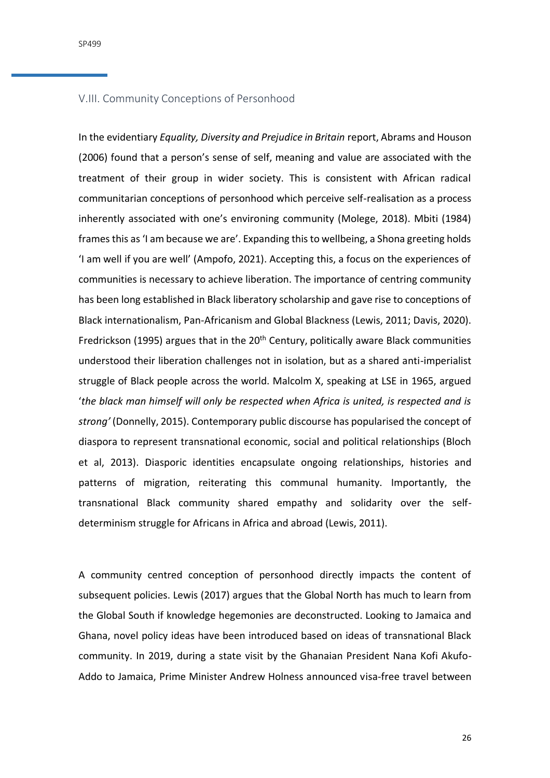SP499

## <span id="page-25-0"></span>V.III. Community Conceptions of Personhood

In the evidentiary *Equality, Diversity and Prejudice in Britain* report, Abrams and Houson (2006) found that a person's sense of self, meaning and value are associated with the treatment of their group in wider society. This is consistent with African radical communitarian conceptions of personhood which perceive self-realisation as a process inherently associated with one's environing community (Molege, 2018). Mbiti (1984) frames this as 'I am because we are'. Expanding this to wellbeing, a Shona greeting holds 'I am well if you are well' (Ampofo, 2021). Accepting this, a focus on the experiences of communities is necessary to achieve liberation. The importance of centring community has been long established in Black liberatory scholarship and gave rise to conceptions of Black internationalism, Pan-Africanism and Global Blackness (Lewis, 2011; Davis, 2020). Fredrickson (1995) argues that in the 20<sup>th</sup> Century, politically aware Black communities understood their liberation challenges not in isolation, but as a shared anti-imperialist struggle of Black people across the world. Malcolm X, speaking at LSE in 1965, argued '*the black man himself will only be respected when Africa is united, is respected and is strong'* (Donnelly, 2015). Contemporary public discourse has popularised the concept of diaspora to represent transnational economic, social and political relationships (Bloch et al, 2013). Diasporic identities encapsulate ongoing relationships, histories and patterns of migration, reiterating this communal humanity. Importantly, the transnational Black community shared empathy and solidarity over the selfdeterminism struggle for Africans in Africa and abroad (Lewis, 2011).

A community centred conception of personhood directly impacts the content of subsequent policies. Lewis (2017) argues that the Global North has much to learn from the Global South if knowledge hegemonies are deconstructed. Looking to Jamaica and Ghana, novel policy ideas have been introduced based on ideas of transnational Black community. In 2019, during a state visit by the Ghanaian President Nana Kofi Akufo-Addo to Jamaica, Prime Minister Andrew Holness announced visa-free travel between

26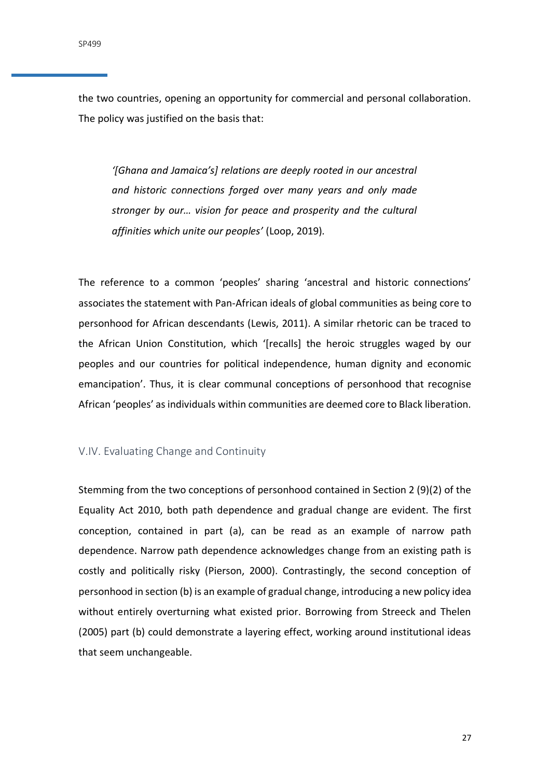the two countries, opening an opportunity for commercial and personal collaboration. The policy was justified on the basis that:

*'[Ghana and Jamaica's] relations are deeply rooted in our ancestral and historic connections forged over many years and only made stronger by our… vision for peace and prosperity and the cultural affinities which unite our peoples'* (Loop, 2019)*.* 

The reference to a common 'peoples' sharing 'ancestral and historic connections' associates the statement with Pan-African ideals of global communities as being core to personhood for African descendants (Lewis, 2011). A similar rhetoric can be traced to the African Union Constitution, which '[recalls] the heroic struggles waged by our peoples and our countries for political independence, human dignity and economic emancipation'. Thus, it is clear communal conceptions of personhood that recognise African 'peoples' as individuals within communities are deemed core to Black liberation.

# <span id="page-26-0"></span>V.IV. Evaluating Change and Continuity

Stemming from the two conceptions of personhood contained in Section 2 (9)(2) of the Equality Act 2010, both path dependence and gradual change are evident. The first conception, contained in part (a), can be read as an example of narrow path dependence. Narrow path dependence acknowledges change from an existing path is costly and politically risky (Pierson, 2000). Contrastingly, the second conception of personhood in section (b) is an example of gradual change, introducing a new policy idea without entirely overturning what existed prior. Borrowing from Streeck and Thelen (2005) part (b) could demonstrate a layering effect, working around institutional ideas that seem unchangeable.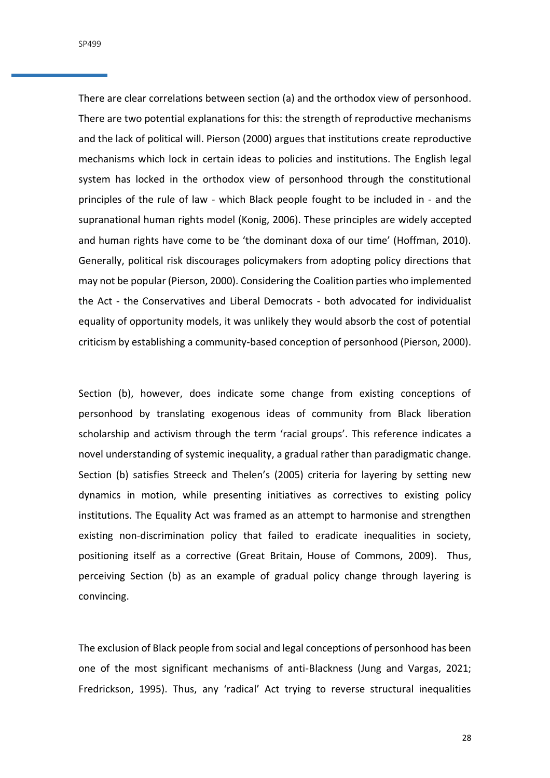SP499

There are clear correlations between section (a) and the orthodox view of personhood. There are two potential explanations for this: the strength of reproductive mechanisms and the lack of political will. Pierson (2000) argues that institutions create reproductive mechanisms which lock in certain ideas to policies and institutions. The English legal system has locked in the orthodox view of personhood through the constitutional principles of the rule of law - which Black people fought to be included in - and the supranational human rights model (Konig, 2006). These principles are widely accepted and human rights have come to be 'the dominant doxa of our time' (Hoffman, 2010). Generally, political risk discourages policymakers from adopting policy directions that may not be popular (Pierson, 2000). Considering the Coalition parties who implemented the Act - the Conservatives and Liberal Democrats - both advocated for individualist equality of opportunity models, it was unlikely they would absorb the cost of potential criticism by establishing a community-based conception of personhood (Pierson, 2000).

Section (b), however, does indicate some change from existing conceptions of personhood by translating exogenous ideas of community from Black liberation scholarship and activism through the term 'racial groups'. This reference indicates a novel understanding of systemic inequality, a gradual rather than paradigmatic change. Section (b) satisfies Streeck and Thelen's (2005) criteria for layering by setting new dynamics in motion, while presenting initiatives as correctives to existing policy institutions. The Equality Act was framed as an attempt to harmonise and strengthen existing non-discrimination policy that failed to eradicate inequalities in society, positioning itself as a corrective (Great Britain, House of Commons, 2009). Thus, perceiving Section (b) as an example of gradual policy change through layering is convincing.

The exclusion of Black people from social and legal conceptions of personhood has been one of the most significant mechanisms of anti-Blackness (Jung and Vargas, 2021; Fredrickson, 1995). Thus, any 'radical' Act trying to reverse structural inequalities

28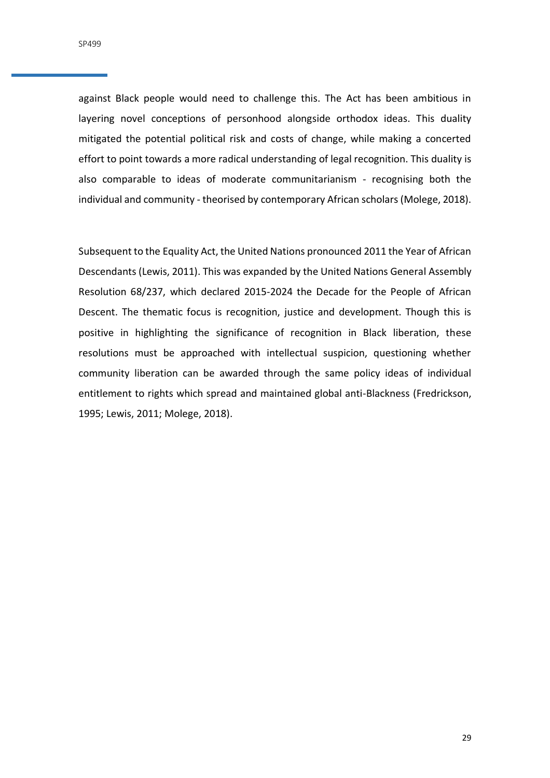against Black people would need to challenge this. The Act has been ambitious in layering novel conceptions of personhood alongside orthodox ideas. This duality mitigated the potential political risk and costs of change, while making a concerted effort to point towards a more radical understanding of legal recognition. This duality is also comparable to ideas of moderate communitarianism - recognising both the individual and community - theorised by contemporary African scholars(Molege, 2018).

Subsequent to the Equality Act, the United Nations pronounced 2011 the Year of African Descendants (Lewis, 2011). This was expanded by the United Nations General Assembly Resolution 68/237, which declared 2015-2024 the Decade for the People of African Descent. The thematic focus is recognition, justice and development. Though this is positive in highlighting the significance of recognition in Black liberation, these resolutions must be approached with intellectual suspicion, questioning whether community liberation can be awarded through the same policy ideas of individual entitlement to rights which spread and maintained global anti-Blackness (Fredrickson, 1995; Lewis, 2011; Molege, 2018).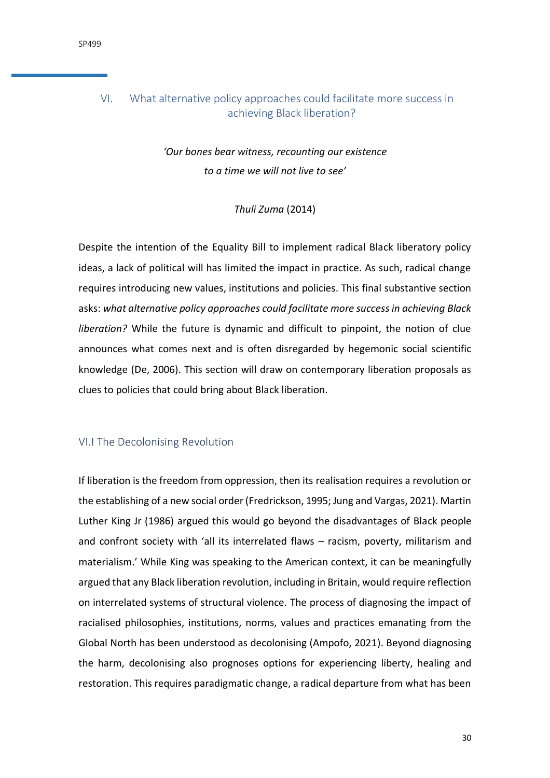# <span id="page-29-0"></span>VI. What alternative policy approaches could facilitate more success in achieving Black liberation?

# *'Our bones bear witness, recounting our existence to a time we will not live to see'*

# *Thuli Zuma* (2014)

Despite the intention of the Equality Bill to implement radical Black liberatory policy ideas, a lack of political will has limited the impact in practice. As such, radical change requires introducing new values, institutions and policies. This final substantive section asks: *what alternative policy approaches could facilitate more success in achieving Black liberation?* While the future is dynamic and difficult to pinpoint, the notion of clue announces what comes next and is often disregarded by hegemonic social scientific knowledge (De, 2006). This section will draw on contemporary liberation proposals as clues to policies that could bring about Black liberation.

# <span id="page-29-1"></span>VI.I The Decolonising Revolution

If liberation is the freedom from oppression, then its realisation requires a revolution or the establishing of a new social order (Fredrickson, 1995; Jung and Vargas, 2021). Martin Luther King Jr (1986) argued this would go beyond the disadvantages of Black people and confront society with 'all its interrelated flaws – racism, poverty, militarism and materialism.' While King was speaking to the American context, it can be meaningfully argued that any Black liberation revolution, including in Britain, would require reflection on interrelated systems of structural violence. The process of diagnosing the impact of racialised philosophies, institutions, norms, values and practices emanating from the Global North has been understood as decolonising (Ampofo, 2021). Beyond diagnosing the harm, decolonising also prognoses options for experiencing liberty, healing and restoration. This requires paradigmatic change, a radical departure from what has been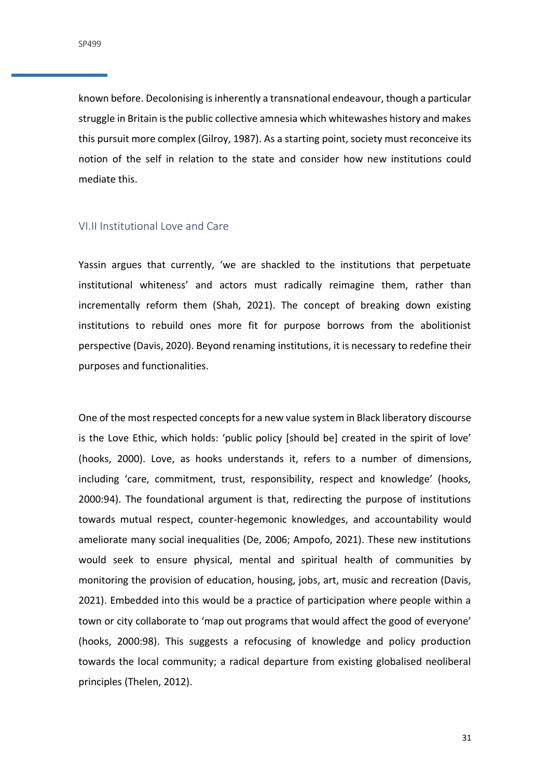known before. Decolonising is inherently a transnational endeavour, though a particular struggle in Britain is the public collective amnesia which whitewashes history and makes this pursuit more complex (Gilroy, 1987). As a starting point, society must reconceive its notion of the self in relation to the state and consider how new institutions could mediate this.

## <span id="page-30-0"></span>VI.II Institutional Love and Care

Yassin argues that currently, 'we are shackled to the institutions that perpetuate institutional whiteness' and actors must radically reimagine them, rather than incrementally reform them (Shah, 2021). The concept of breaking down existing institutions to rebuild ones more fit for purpose borrows from the abolitionist perspective (Davis, 2020). Beyond renaming institutions, it is necessary to redefine their purposes and functionalities.

One of the most respected concepts for a new value system in Black liberatory discourse is the Love Ethic, which holds: 'public policy [should be] created in the spirit of love' (hooks, 2000). Love, as hooks understands it, refers to a number of dimensions, including 'care, commitment, trust, responsibility, respect and knowledge' (hooks, 2000:94). The foundational argument is that, redirecting the purpose of institutions towards mutual respect, counter-hegemonic knowledges, and accountability would ameliorate many social inequalities (De, 2006; Ampofo, 2021). These new institutions would seek to ensure physical, mental and spiritual health of communities by monitoring the provision of education, housing, jobs, art, music and recreation (Davis, 2021). Embedded into this would be a practice of participation where people within a town or city collaborate to 'map out programs that would affect the good of everyone' (hooks, 2000:98). This suggests a refocusing of knowledge and policy production towards the local community; a radical departure from existing globalised neoliberal principles (Thelen, 2012).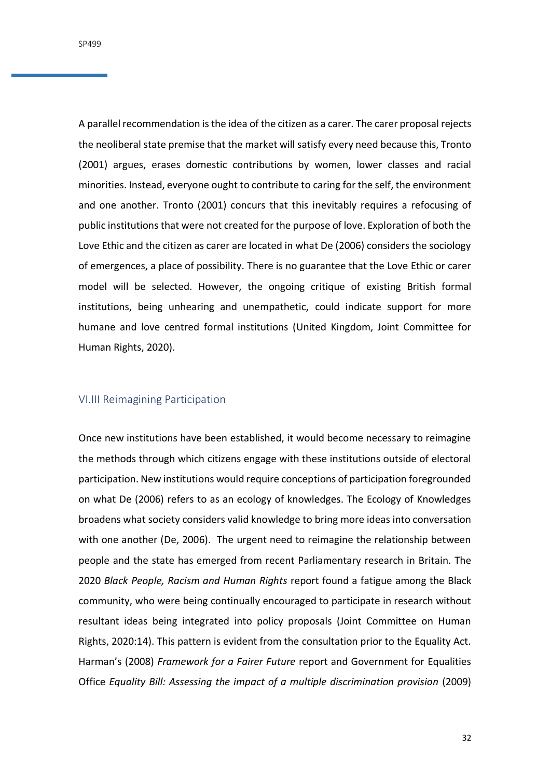A parallel recommendation is the idea of the citizen as a carer. The carer proposal rejects the neoliberal state premise that the market will satisfy every need because this, Tronto (2001) argues, erases domestic contributions by women, lower classes and racial minorities. Instead, everyone ought to contribute to caring for the self, the environment and one another. Tronto (2001) concurs that this inevitably requires a refocusing of public institutions that were not created for the purpose of love. Exploration of both the Love Ethic and the citizen as carer are located in what De (2006) considers the sociology of emergences, a place of possibility. There is no guarantee that the Love Ethic or carer model will be selected. However, the ongoing critique of existing British formal institutions, being unhearing and unempathetic, could indicate support for more humane and love centred formal institutions (United Kingdom, Joint Committee for Human Rights, 2020).

# <span id="page-31-0"></span>VI.III Reimagining Participation

Once new institutions have been established, it would become necessary to reimagine the methods through which citizens engage with these institutions outside of electoral participation. New institutions would require conceptions of participation foregrounded on what De (2006) refers to as an ecology of knowledges. The Ecology of Knowledges broadens what society considers valid knowledge to bring more ideas into conversation with one another (De, 2006). The urgent need to reimagine the relationship between people and the state has emerged from recent Parliamentary research in Britain. The 2020 *Black People, Racism and Human Rights* report found a fatigue among the Black community, who were being continually encouraged to participate in research without resultant ideas being integrated into policy proposals (Joint Committee on Human Rights, 2020:14). This pattern is evident from the consultation prior to the Equality Act. Harman's (2008) *Framework for a Fairer Future* report and Government for Equalities Office *Equality Bill: Assessing the impact of a multiple discrimination provision* (2009)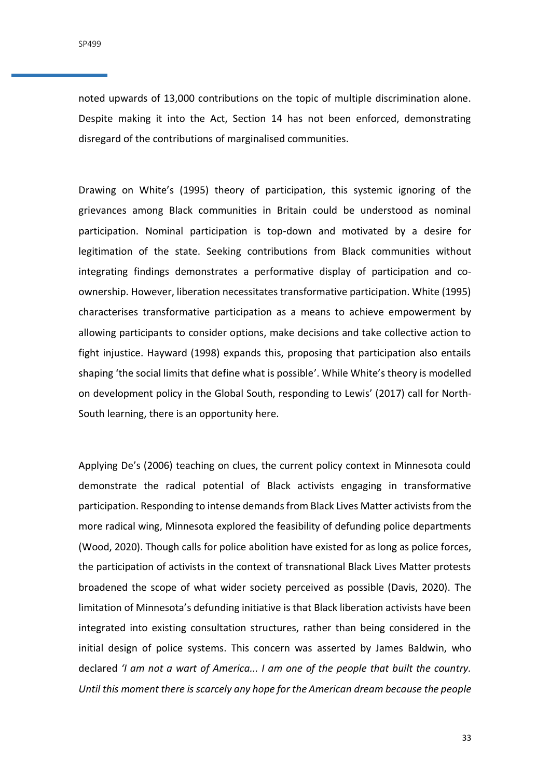noted upwards of 13,000 contributions on the topic of multiple discrimination alone. Despite making it into the Act, Section 14 has not been enforced, demonstrating disregard of the contributions of marginalised communities.

Drawing on White's (1995) theory of participation, this systemic ignoring of the grievances among Black communities in Britain could be understood as nominal participation. Nominal participation is top-down and motivated by a desire for legitimation of the state. Seeking contributions from Black communities without integrating findings demonstrates a performative display of participation and coownership. However, liberation necessitates transformative participation. White (1995) characterises transformative participation as a means to achieve empowerment by allowing participants to consider options, make decisions and take collective action to fight injustice. Hayward (1998) expands this, proposing that participation also entails shaping 'the social limits that define what is possible'. While White's theory is modelled on development policy in the Global South, responding to Lewis' (2017) call for North-South learning, there is an opportunity here.

Applying De's (2006) teaching on clues, the current policy context in Minnesota could demonstrate the radical potential of Black activists engaging in transformative participation. Responding to intense demands from Black Lives Matter activists from the more radical wing, Minnesota explored the feasibility of defunding police departments (Wood, 2020). Though calls for police abolition have existed for as long as police forces, the participation of activists in the context of transnational Black Lives Matter protests broadened the scope of what wider society perceived as possible (Davis, 2020). The limitation of Minnesota's defunding initiative is that Black liberation activists have been integrated into existing consultation structures, rather than being considered in the initial design of police systems. This concern was asserted by James Baldwin, who declared *'I am not a wart of America... I am one of the people that built the country. Until this moment there is scarcely any hope for the American dream because the people*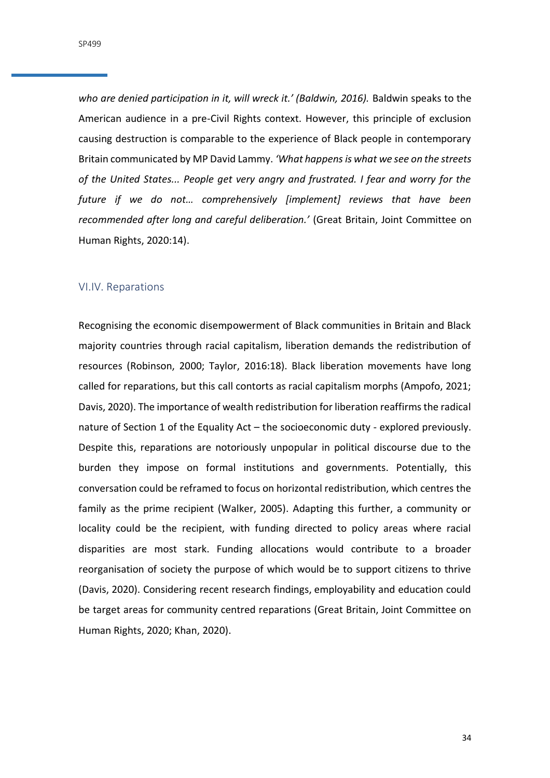*who are denied participation in it, will wreck it.' (Baldwin, 2016).* Baldwin speaks to the American audience in a pre-Civil Rights context. However, this principle of exclusion causing destruction is comparable to the experience of Black people in contemporary Britain communicated by MP David Lammy. *'What happens is what we see on the streets of the United States... People get very angry and frustrated. I fear and worry for the future if we do not… comprehensively [implement] reviews that have been recommended after long and careful deliberation.'* (Great Britain, Joint Committee on Human Rights, 2020:14).

#### <span id="page-33-0"></span>VI.IV. Reparations

Recognising the economic disempowerment of Black communities in Britain and Black majority countries through racial capitalism, liberation demands the redistribution of resources (Robinson, 2000; Taylor, 2016:18). Black liberation movements have long called for reparations, but this call contorts as racial capitalism morphs (Ampofo, 2021; Davis, 2020). The importance of wealth redistribution for liberation reaffirms the radical nature of Section 1 of the Equality Act – the socioeconomic duty - explored previously. Despite this, reparations are notoriously unpopular in political discourse due to the burden they impose on formal institutions and governments. Potentially, this conversation could be reframed to focus on horizontal redistribution, which centres the family as the prime recipient (Walker, 2005). Adapting this further, a community or locality could be the recipient, with funding directed to policy areas where racial disparities are most stark. Funding allocations would contribute to a broader reorganisation of society the purpose of which would be to support citizens to thrive (Davis, 2020). Considering recent research findings, employability and education could be target areas for community centred reparations (Great Britain, Joint Committee on Human Rights, 2020; Khan, 2020).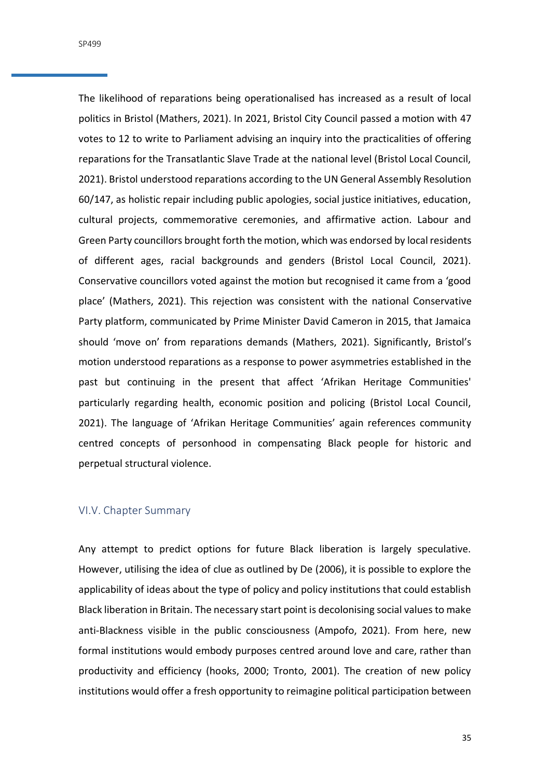SP499

The likelihood of reparations being operationalised has increased as a result of local politics in Bristol (Mathers, 2021). In 2021, Bristol City Council passed a motion with 47 votes to 12 to write to Parliament advising an inquiry into the practicalities of offering reparations for the Transatlantic Slave Trade at the national level (Bristol Local Council, 2021). Bristol understood reparations according to the UN General Assembly Resolution 60/147, as holistic repair including public apologies, social justice initiatives, education, cultural projects, commemorative ceremonies, and affirmative action. Labour and Green Party councillors brought forth the motion, which was endorsed by local residents of different ages, racial backgrounds and genders (Bristol Local Council, 2021). Conservative councillors voted against the motion but recognised it came from a 'good place' (Mathers, 2021). This rejection was consistent with the national Conservative Party platform, communicated by Prime Minister David Cameron in 2015, that Jamaica should 'move on' from reparations demands (Mathers, 2021). Significantly, Bristol's motion understood reparations as a response to power asymmetries established in the past but continuing in the present that affect 'Afrikan Heritage Communities' particularly regarding health, economic position and policing (Bristol Local Council, 2021). The language of 'Afrikan Heritage Communities' again references community centred concepts of personhood in compensating Black people for historic and perpetual structural violence.

## <span id="page-34-0"></span>VI.V. Chapter Summary

Any attempt to predict options for future Black liberation is largely speculative. However, utilising the idea of clue as outlined by De (2006), it is possible to explore the applicability of ideas about the type of policy and policy institutions that could establish Black liberation in Britain. The necessary start point is decolonising social values to make anti-Blackness visible in the public consciousness (Ampofo, 2021). From here, new formal institutions would embody purposes centred around love and care, rather than productivity and efficiency (hooks, 2000; Tronto, 2001). The creation of new policy institutions would offer a fresh opportunity to reimagine political participation between

35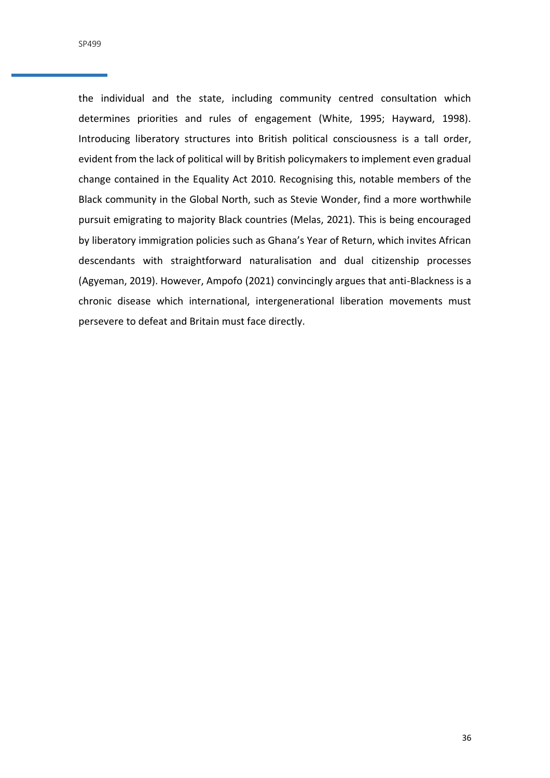the individual and the state, including community centred consultation which determines priorities and rules of engagement (White, 1995; Hayward, 1998). Introducing liberatory structures into British political consciousness is a tall order, evident from the lack of political will by British policymakers to implement even gradual change contained in the Equality Act 2010. Recognising this, notable members of the Black community in the Global North, such as Stevie Wonder, find a more worthwhile pursuit emigrating to majority Black countries (Melas, 2021). This is being encouraged by liberatory immigration policies such as Ghana's Year of Return, which invites African descendants with straightforward naturalisation and dual citizenship processes (Agyeman, 2019). However, Ampofo (2021) convincingly argues that anti-Blackness is a chronic disease which international, intergenerational liberation movements must persevere to defeat and Britain must face directly.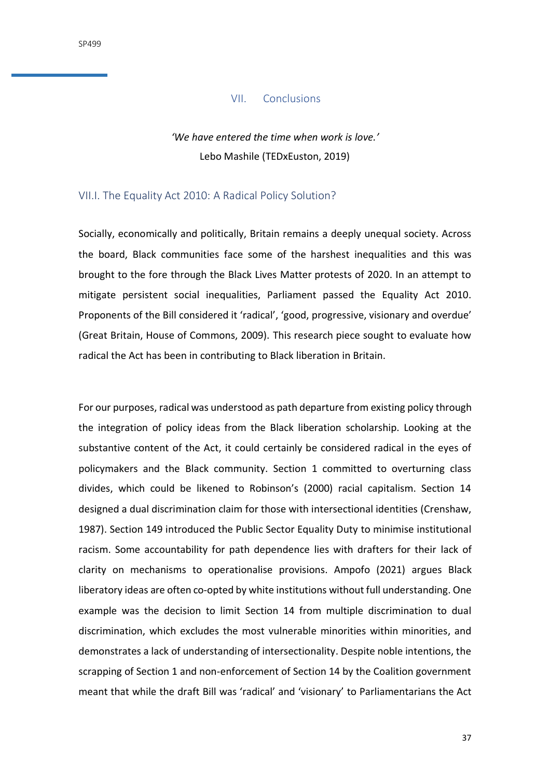#### VII. Conclusions

# *'We have entered the time when work is love.'* Lebo Mashile (TEDxEuston, 2019)

## <span id="page-36-1"></span><span id="page-36-0"></span>VII.I. The Equality Act 2010: A Radical Policy Solution?

Socially, economically and politically, Britain remains a deeply unequal society. Across the board, Black communities face some of the harshest inequalities and this was brought to the fore through the Black Lives Matter protests of 2020. In an attempt to mitigate persistent social inequalities, Parliament passed the Equality Act 2010. Proponents of the Bill considered it 'radical', 'good, progressive, visionary and overdue' (Great Britain, House of Commons, 2009). This research piece sought to evaluate how radical the Act has been in contributing to Black liberation in Britain.

For our purposes, radical was understood as path departure from existing policy through the integration of policy ideas from the Black liberation scholarship. Looking at the substantive content of the Act, it could certainly be considered radical in the eyes of policymakers and the Black community. Section 1 committed to overturning class divides, which could be likened to Robinson's (2000) racial capitalism. Section 14 designed a dual discrimination claim for those with intersectional identities (Crenshaw, 1987). Section 149 introduced the Public Sector Equality Duty to minimise institutional racism. Some accountability for path dependence lies with drafters for their lack of clarity on mechanisms to operationalise provisions. Ampofo (2021) argues Black liberatory ideas are often co-opted by white institutions without full understanding. One example was the decision to limit Section 14 from multiple discrimination to dual discrimination, which excludes the most vulnerable minorities within minorities, and demonstrates a lack of understanding of intersectionality. Despite noble intentions, the scrapping of Section 1 and non-enforcement of Section 14 by the Coalition government meant that while the draft Bill was 'radical' and 'visionary' to Parliamentarians the Act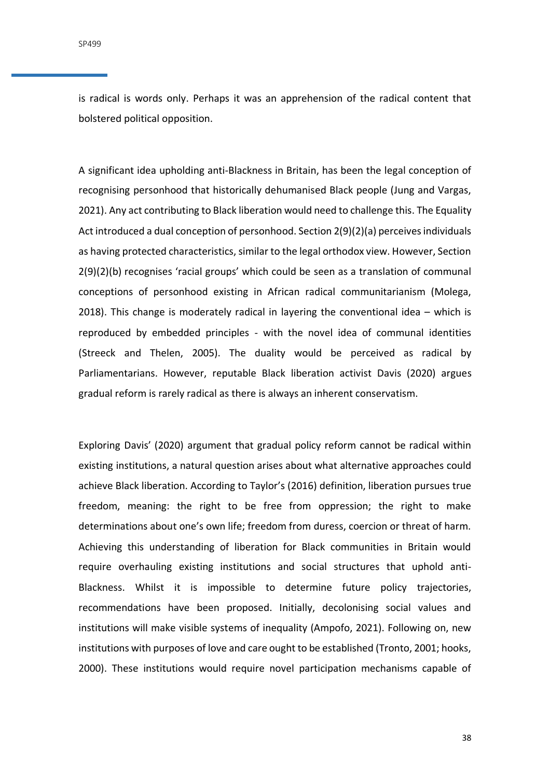is radical is words only. Perhaps it was an apprehension of the radical content that bolstered political opposition.

A significant idea upholding anti-Blackness in Britain, has been the legal conception of recognising personhood that historically dehumanised Black people (Jung and Vargas, 2021). Any act contributing to Black liberation would need to challenge this. The Equality Act introduced a dual conception of personhood. Section 2(9)(2)(a) perceives individuals as having protected characteristics, similar to the legal orthodox view. However, Section 2(9)(2)(b) recognises 'racial groups' which could be seen as a translation of communal conceptions of personhood existing in African radical communitarianism (Molega, 2018). This change is moderately radical in layering the conventional idea – which is reproduced by embedded principles - with the novel idea of communal identities (Streeck and Thelen, 2005). The duality would be perceived as radical by Parliamentarians. However, reputable Black liberation activist Davis (2020) argues gradual reform is rarely radical as there is always an inherent conservatism.

Exploring Davis' (2020) argument that gradual policy reform cannot be radical within existing institutions, a natural question arises about what alternative approaches could achieve Black liberation. According to Taylor's (2016) definition, liberation pursues true freedom, meaning: the right to be free from oppression; the right to make determinations about one's own life; freedom from duress, coercion or threat of harm. Achieving this understanding of liberation for Black communities in Britain would require overhauling existing institutions and social structures that uphold anti-Blackness. Whilst it is impossible to determine future policy trajectories, recommendations have been proposed. Initially, decolonising social values and institutions will make visible systems of inequality (Ampofo, 2021). Following on, new institutions with purposes of love and care ought to be established (Tronto, 2001; hooks, 2000). These institutions would require novel participation mechanisms capable of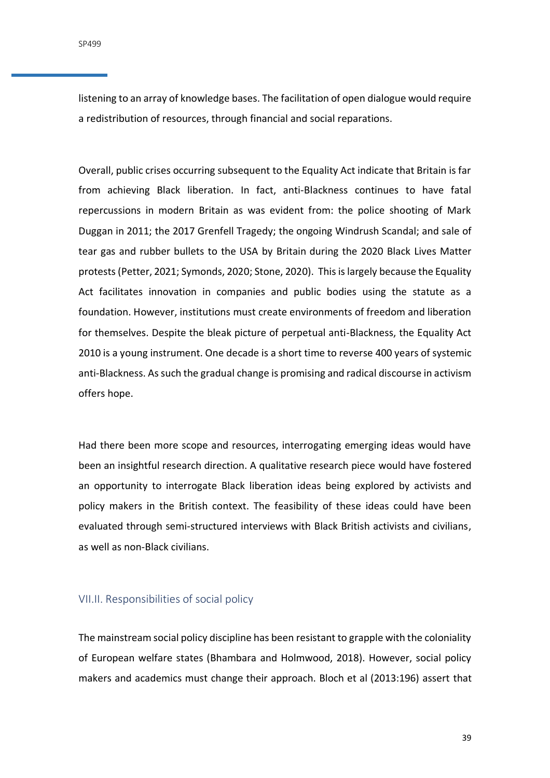listening to an array of knowledge bases. The facilitation of open dialogue would require a redistribution of resources, through financial and social reparations.

Overall, public crises occurring subsequent to the Equality Act indicate that Britain is far from achieving Black liberation. In fact, anti-Blackness continues to have fatal repercussions in modern Britain as was evident from: the police shooting of Mark Duggan in 2011; the 2017 Grenfell Tragedy; the ongoing Windrush Scandal; and sale of tear gas and rubber bullets to the USA by Britain during the 2020 Black Lives Matter protests(Petter, 2021; Symonds, 2020; Stone, 2020). This is largely because the Equality Act facilitates innovation in companies and public bodies using the statute as a foundation. However, institutions must create environments of freedom and liberation for themselves. Despite the bleak picture of perpetual anti-Blackness, the Equality Act 2010 is a young instrument. One decade is a short time to reverse 400 years of systemic anti-Blackness. As such the gradual change is promising and radical discourse in activism offers hope.

Had there been more scope and resources, interrogating emerging ideas would have been an insightful research direction. A qualitative research piece would have fostered an opportunity to interrogate Black liberation ideas being explored by activists and policy makers in the British context. The feasibility of these ideas could have been evaluated through semi-structured interviews with Black British activists and civilians, as well as non-Black civilians.

## <span id="page-38-0"></span>VII.II. Responsibilities of social policy

The mainstream social policy discipline has been resistant to grapple with the coloniality of European welfare states (Bhambara and Holmwood, 2018). However, social policy makers and academics must change their approach. Bloch et al (2013:196) assert that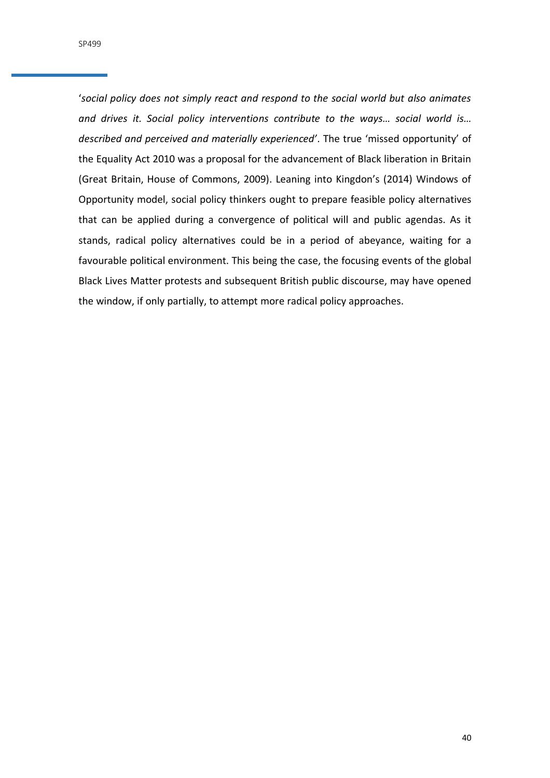'*social policy does not simply react and respond to the social world but also animates and drives it. Social policy interventions contribute to the ways… social world is… described and perceived and materially experienced'*. The true 'missed opportunity' of the Equality Act 2010 was a proposal for the advancement of Black liberation in Britain (Great Britain, House of Commons, 2009). Leaning into Kingdon's (2014) Windows of Opportunity model, social policy thinkers ought to prepare feasible policy alternatives that can be applied during a convergence of political will and public agendas. As it stands, radical policy alternatives could be in a period of abeyance, waiting for a favourable political environment. This being the case, the focusing events of the global Black Lives Matter protests and subsequent British public discourse, may have opened the window, if only partially, to attempt more radical policy approaches.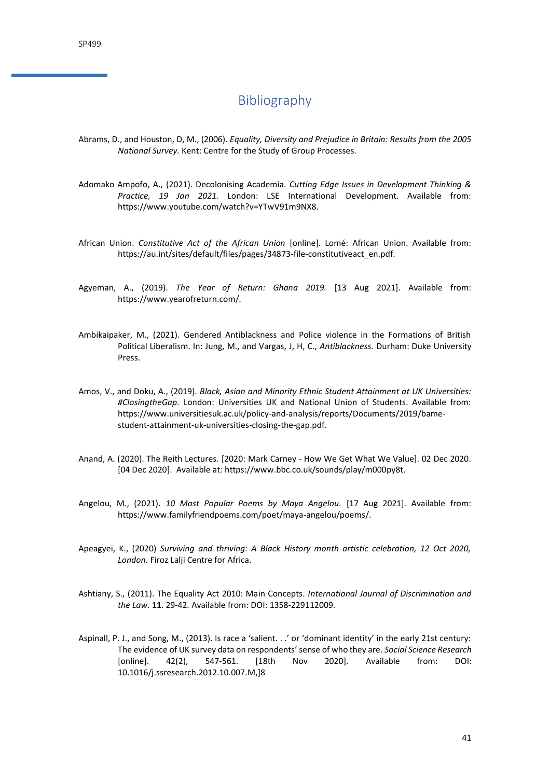# Bibliography

- <span id="page-40-0"></span>Abrams, D., and Houston, D, M., (2006). *Equality, Diversity and Prejudice in Britain: Results from the 2005 National Survey.* Kent: Centre for the Study of Group Processes.
- Adomako Ampofo, A., (2021). Decolonising Academia*. Cutting Edge Issues in Development Thinking & Practice, 19 Jan 2021.* London: LSE International Development. Available from: https://www.youtube.com/watch?v=YTwV91m9NX8.
- African Union. *Constitutive Act of the African Union* [online]. Lomé: African Union. Available from: https://au.int/sites/default/files/pages/34873-file-constitutiveact\_en.pdf.
- Agyeman, A., (2019). *The Year of Return: Ghana 2019.* [13 Aug 2021]. Available from: https://www.yearofreturn.com/.
- Ambikaipaker, M., (2021). Gendered Antiblackness and Police violence in the Formations of British Political Liberalism. In: Jung, M., and Vargas, J, H, C., *Antiblackness.* Durham: Duke University Press.
- Amos, V., and Doku, A., (2019). *Black, Asian and Minority Ethnic Student Attainment at UK Universities: #ClosingtheGap.* London: Universities UK and National Union of Students. Available from: https://www.universitiesuk.ac.uk/policy-and-analysis/reports/Documents/2019/bamestudent-attainment-uk-universities-closing-the-gap.pdf.
- Anand, A. (2020). The Reith Lectures. [2020: Mark Carney How We Get What We Value]. 02 Dec 2020. [04 Dec 2020]. Available at: https://www.bbc.co.uk/sounds/play/m000py8t.
- Angelou, M., (2021). *10 Most Popular Poems by Maya Angelou.* [17 Aug 2021]. Available from: https://www.familyfriendpoems.com/poet/maya-angelou/poems/.
- Apeagyei, K., (2020) *Surviving and thriving: A Black History month artistic celebration, 12 Oct 2020, London.* Firoz Lalji Centre for Africa.
- Ashtiany, S., (2011). The Equality Act 2010: Main Concepts. *International Journal of Discrimination and the Law.* **11**. 29-42. Available from: DOI: 1358-229112009.
- Aspinall, P. J., and Song, M., (2013). Is race a 'salient. . .' or 'dominant identity' in the early 21st century: The evidence of UK survey data on respondents' sense of who they are. *Social Science Research*  [online]. 42(2), 547-561. [18th Nov 2020]. Available from: DOI: 10.1016/j.ssresearch.2012.10.007.M,]8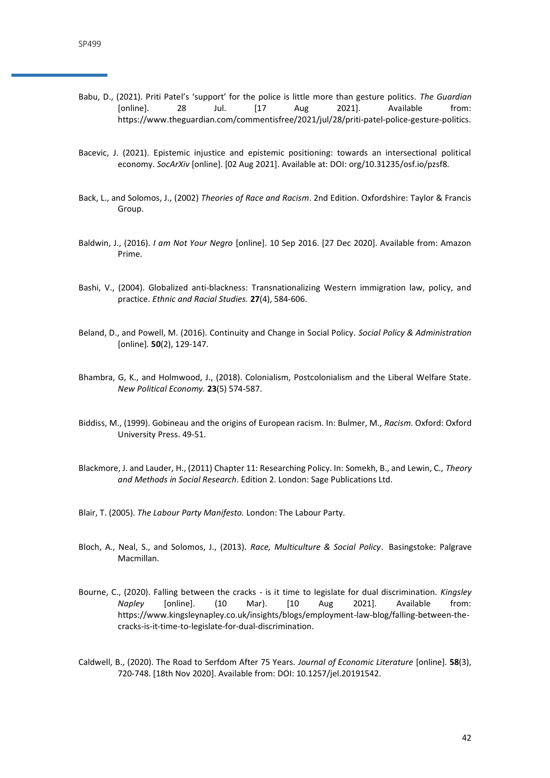- Babu, D., (2021). Priti Patel's 'support' for the police is little more than gesture politics. *The Guardian*  [online]. 28 Jul. [17 Aug 2021]. Available from: https://www.theguardian.com/commentisfree/2021/jul/28/priti-patel-police-gesture-politics.
- Bacevic, J. (2021). Epistemic injustice and epistemic positioning: towards an intersectional political economy. *SocArXiv* [online]. [02 Aug 2021]. Available at: DOI: org/10.31235/osf.io/pzsf8.
- Back, L., and Solomos, J., (2002) *Theories of Race and Racism*. 2nd Edition. Oxfordshire: Taylor & Francis Group.
- Baldwin, J., (2016). *I am Not Your Negro* [online]. 10 Sep 2016. [27 Dec 2020]. Available from: Amazon Prime.
- Bashi, V., (2004). Globalized anti-blackness: Transnationalizing Western immigration law, policy, and practice. *Ethnic and Racial Studies.* **27**(4), 584-606.
- Beland, D., and Powell, M. (2016). Continuity and Change in Social Policy. *Social Policy & Administration*  [online]*.* **50**(2), 129-147.
- Bhambra, G, K., and Holmwood, J., (2018). Colonialism, Postcolonialism and the Liberal Welfare State. *New Political Economy.* **23**(5) 574-587.
- Biddiss, M., (1999). Gobineau and the origins of European racism. In: Bulmer, M., *Racism.* Oxford: Oxford University Press. 49-51.
- Blackmore, J. and Lauder, H., (2011) Chapter 11: Researching Policy. In: Somekh, B., and Lewin, C., *Theory and Methods in Social Research*. Edition 2. London: Sage Publications Ltd.
- Blair, T. (2005). *The Labour Party Manifesto.* London: The Labour Party.
- Bloch, A., Neal, S., and Solomos, J., (2013). *Race, Multiculture & Social Policy*. Basingstoke: Palgrave Macmillan.
- Bourne, C., (2020). Falling between the cracks is it time to legislate for dual discrimination. *Kingsley Napley* [online]. (10 Mar). [10 Aug 2021]. Available from: https://www.kingsleynapley.co.uk/insights/blogs/employment-law-blog/falling-between-thecracks-is-it-time-to-legislate-for-dual-discrimination.
- Caldwell, B., (2020). The Road to Serfdom After 75 Years. *Journal of Economic Literature* [online]. **58**(3), 720-748. [18th Nov 2020]. Available from: DOI: 10.1257/jel.20191542.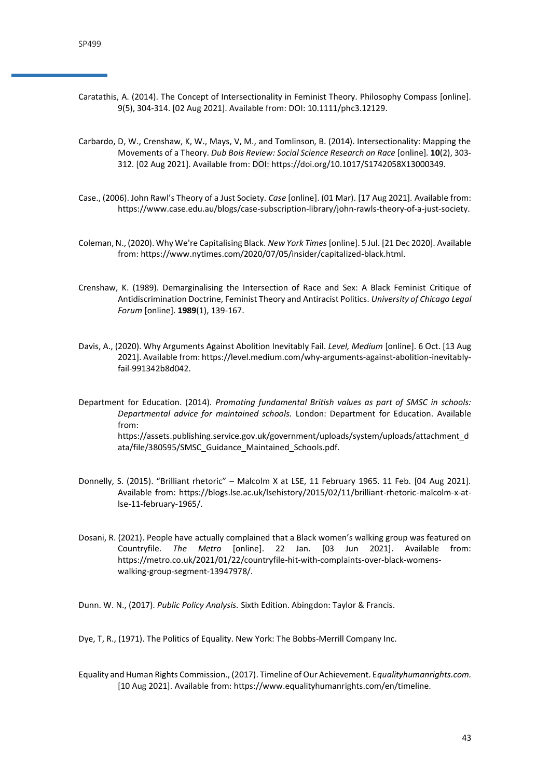- Caratathis, A. (2014). The Concept of Intersectionality in Feminist Theory. Philosophy Compass [online]. 9(5), 304-314. [02 Aug 2021]. Available from: DOI: 10.1111/phc3.12129.
- Carbardo, D, W., Crenshaw, K, W., Mays, V, M., and Tomlinson, B. (2014). Intersectionality: Mapping the Movements of a Theory. *Dub Bois Review: Social Science Research on Race* [online]*.* **10**(2), 303- 312. [02 Aug 2021]. Available from: DOI[: https://doi.org/10.1017/S1742058X13000349](https://doi.org/10.1017/S1742058X13000349)*.*
- Case., (2006). John Rawl's Theory of a Just Society. *Case* [online]. (01 Mar). [17 Aug 2021]. Available from: https://www.case.edu.au/blogs/case-subscription-library/john-rawls-theory-of-a-just-society.
- Coleman, N., (2020). Why We're Capitalising Black. *New York Times* [online]. 5 Jul. [21 Dec 2020]. Available from: https://www.nytimes.com/2020/07/05/insider/capitalized-black.html.
- Crenshaw, K. (1989). Demarginalising the Intersection of Race and Sex: A Black Feminist Critique of Antidiscrimination Doctrine, Feminist Theory and Antiracist Politics. *University of Chicago Legal Forum* [online]. **1989**(1), 139-167.
- Davis, A., (2020). Why Arguments Against Abolition Inevitably Fail. *Level, Medium* [online]. 6 Oct. [13 Aug 2021]. Available from: https://level.medium.com/why-arguments-against-abolition-inevitablyfail-991342b8d042.

Department for Education. (2014). *Promoting fundamental British values as part of SMSC in schools: Departmental advice for maintained schools.* London: Department for Education. Available from: https://assets.publishing.service.gov.uk/government/uploads/system/uploads/attachment\_d ata/file/380595/SMSC\_Guidance\_Maintained\_Schools.pdf.

- Donnelly, S. (2015). "Brilliant rhetoric" Malcolm X at LSE, 11 February 1965. 11 Feb. [04 Aug 2021]. Available from: https://blogs.lse.ac.uk/lsehistory/2015/02/11/brilliant-rhetoric-malcolm-x-atlse-11-february-1965/.
- Dosani, R. (2021). People have actually complained that a Black women's walking group was featured on Countryfile. *The Metro* [online]. 22 Jan. [03 Jun 2021]. Available from: https://metro.co.uk/2021/01/22/countryfile-hit-with-complaints-over-black-womenswalking-group-segment-13947978/.

Dunn. W. N., (2017). *Public Policy Analysis.* Sixth Edition. Abingdon: Taylor & Francis.

Dye, T, R., (1971). The Politics of Equality. New York: The Bobbs-Merrill Company Inc.

Equality and Human Rights Commission., (2017). Timeline of Our Achievement. E*qualityhumanrights.com.*  [10 Aug 2021]. Available from: https://www.equalityhumanrights.com/en/timeline.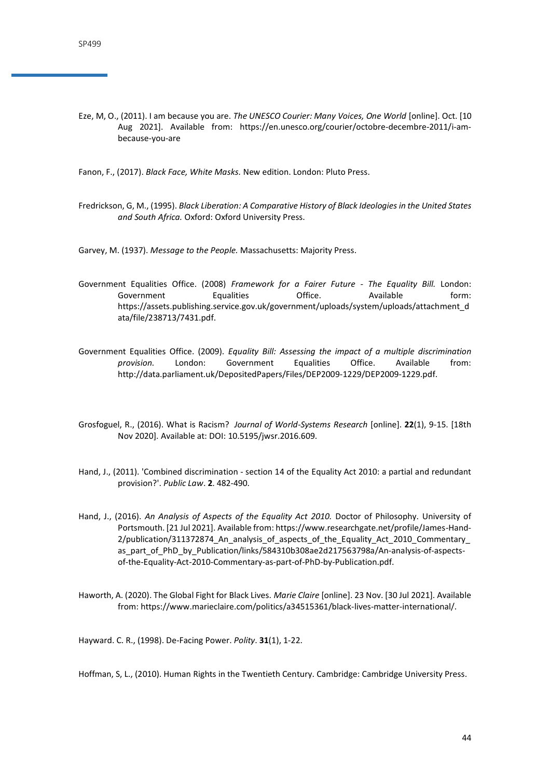Eze, M, O., (2011). I am because you are. *The UNESCO Courier: Many Voices, One World* [online]. Oct. [10 Aug 2021]. Available from: https://en.unesco.org/courier/octobre-decembre-2011/i-ambecause-you-are

Fanon, F., (2017). *Black Face, White Masks.* New edition. London: Pluto Press.

Fredrickson, G, M., (1995). *Black Liberation: A Comparative History of Black Ideologies in the United States and South Africa.* Oxford: Oxford University Press.

Garvey, M. (1937). *Message to the People.* Massachusetts: Majority Press.

- Government Equalities Office. (2008) *Framework for a Fairer Future - The Equality Bill.* London: Government Equalities Office. Available form: https://assets.publishing.service.gov.uk/government/uploads/system/uploads/attachment\_d ata/file/238713/7431.pdf.
- Government Equalities Office. (2009). *Equality Bill: Assessing the impact of a multiple discrimination provision.* London: Government Equalities Office. Available from: http://data.parliament.uk/DepositedPapers/Files/DEP2009-1229/DEP2009-1229.pdf.
- Grosfoguel, R., (2016). What is Racism? *Journal of World-Systems Research* [online]. **22**(1), 9-15. [18th Nov 2020]. Available at: DOI: 10.5195/jwsr.2016.609.
- [Hand, J.](https://researchportal.port.ac.uk/portal/en/persons/james-hand(1096f75a-2240-4d77-a865-3babe14981ad).html), (2011). 'Combined discrimination [section 14 of the Equality Act 2010: a partial and redundant](https://researchportal.port.ac.uk/portal/en/publications/combined-discrimination--section-14-of-the-equality-act-2010-a-partial-and-redundant-provision(177c833b-059c-4092-86e1-b1ba1d826680).html)  [provision?'](https://researchportal.port.ac.uk/portal/en/publications/combined-discrimination--section-14-of-the-equality-act-2010-a-partial-and-redundant-provision(177c833b-059c-4092-86e1-b1ba1d826680).html). *Public Law*. **2**. 482-490.
- Hand, J., (2016). *An Analysis of Aspects of the Equality Act 2010.* Doctor of Philosophy. University of Portsmouth. [21 Jul 2021]. Available from: https://www.researchgate.net/profile/James-Hand-2/publication/311372874 An analysis of aspects of the Equality Act 2010 Commentary as\_part\_of\_PhD\_by\_Publication/links/584310b308ae2d217563798a/An-analysis-of-aspectsof-the-Equality-Act-2010-Commentary-as-part-of-PhD-by-Publication.pdf.
- Haworth, A. (2020). The Global Fight for Black Lives. *Marie Claire* [online]. 23 Nov. [30 Jul 2021]. Available from: https://www.marieclaire.com/politics/a34515361/black-lives-matter-international/.

Hayward. C. R., (1998). De-Facing Power. *Polity*. **31**(1), 1-22.

Hoffman, S, L., (2010). Human Rights in the Twentieth Century. Cambridge: Cambridge University Press.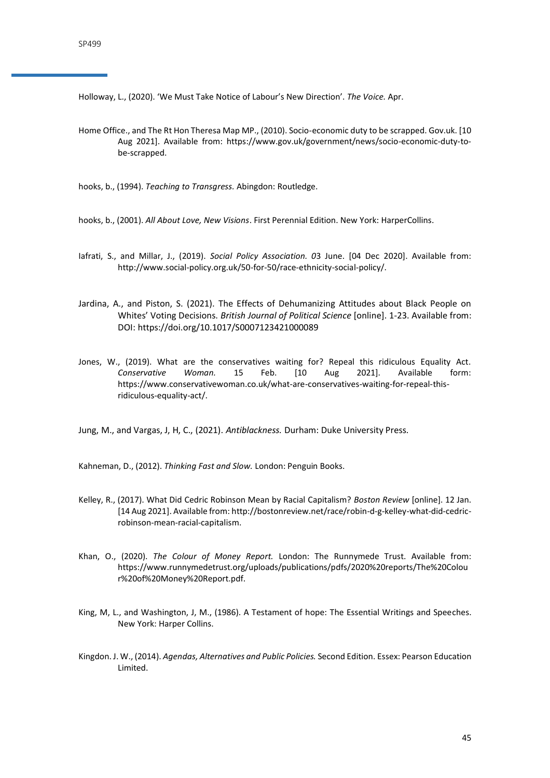Holloway, L., (2020). 'We Must Take Notice of Labour's New Direction'. *The Voice.* Apr.

Home Office., and The Rt Hon Theresa Map MP., (2010). Socio-economic duty to be scrapped. Gov.uk. [10 Aug 2021]. Available from: https://www.gov.uk/government/news/socio-economic-duty-tobe-scrapped.

hooks, b., (1994). *Teaching to Transgress.* Abingdon: Routledge.

- hooks, b., (2001). *All About Love, New Visions*. First Perennial Edition. New York: HarperCollins.
- Iafrati, S., and Millar, J., (2019). *Social Policy Association. 0*3 June. [04 Dec 2020]. Available from: http://www.social-policy.org.uk/50-for-50/race-ethnicity-social-policy/.
- Jardina, A., and Piston, S. (2021). The Effects of Dehumanizing Attitudes about Black People on Whites' Voting Decisions. *British Journal of Political Science* [online]. 1-23. Available from: DOI:<https://doi.org/10.1017/S0007123421000089>
- Jones, W., (2019). What are the conservatives waiting for? Repeal this ridiculous Equality Act. *Conservative Woman.* 15 Feb. [10 Aug 2021]. Available form: https://www.conservativewoman.co.uk/what-are-conservatives-waiting-for-repeal-thisridiculous-equality-act/.

Jung, M., and Vargas, J, H, C., (2021). *Antiblackness.* Durham: Duke University Press.

Kahneman, D., (2012). *Thinking Fast and Slow.* London: Penguin Books.

- Kelley, R., (2017). What Did Cedric Robinson Mean by Racial Capitalism? *Boston Review* [online]. 12 Jan. [14 Aug 2021]. Available from: http://bostonreview.net/race/robin-d-g-kelley-what-did-cedricrobinson-mean-racial-capitalism.
- Khan, O., (2020). *The Colour of Money Report.* London: The Runnymede Trust. Available from: https://www.runnymedetrust.org/uploads/publications/pdfs/2020%20reports/The%20Colou r%20of%20Money%20Report.pdf.
- King, M, L., and Washington, J, M., (1986). A Testament of hope: The Essential Writings and Speeches. New York: Harper Collins.
- Kingdon. J. W., (2014). *Agendas, Alternatives and Public Policies.* Second Edition. Essex: Pearson Education Limited.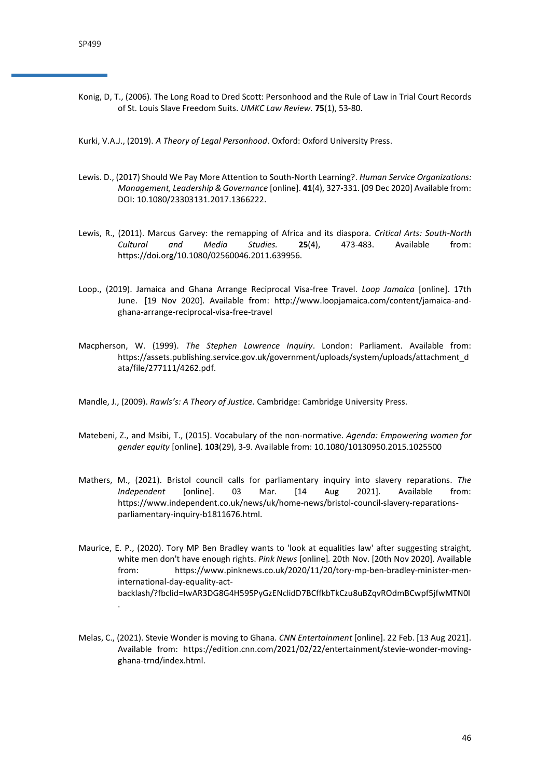Konig, D, T., (2006). The Long Road to Dred Scott: Personhood and the Rule of Law in Trial Court Records of St. Louis Slave Freedom Suits. *UMKC Law Review.* **75**(1), 53-80.

Kurki, V.A.J., (2019). *A Theory of Legal Personhood*. Oxford: Oxford University Press.

- Lewis. D., (2017) Should We Pay More Attention to South-North Learning?. *Human Service Organizations: Management, Leadership & Governance* [online]. **41**(4), 327-331. [09 Dec 2020] Available from: DOI: 10.1080/23303131.2017.1366222.
- Lewis, R., (2011). Marcus Garvey: the remapping of Africa and its diaspora. *Critical Arts: South-North Cultural and Media Studies.* **25**(4), 473-483. Available from: https://doi.org/10.1080/02560046.2011.639956.
- Loop., (2019). Jamaica and Ghana Arrange Reciprocal Visa-free Travel. *Loop Jamaica* [online]. 17th June. [19 Nov 2020]. Available from: http://www.loopjamaica.com/content/jamaica-andghana-arrange-reciprocal-visa-free-travel
- Macpherson, W. (1999). *The Stephen Lawrence Inquiry*. London: Parliament. Available from: https://assets.publishing.service.gov.uk/government/uploads/system/uploads/attachment\_d ata/file/277111/4262.pdf.
- Mandle, J., (2009). *Rawls's: A Theory of Justice.* Cambridge: Cambridge University Press.
- Matebeni, Z., and Msibi, T., (2015). Vocabulary of the non-normative. *Agenda: Empowering women for gender equity* [online]*.* **103**(29), 3-9. Available from: 10.1080/10130950.2015.1025500
- Mathers, M., (2021). Bristol council calls for parliamentary inquiry into slavery reparations. *The Independent* [online]. 03 Mar. [14 Aug 2021]. Available from: https://www.independent.co.uk/news/uk/home-news/bristol-council-slavery-reparationsparliamentary-inquiry-b1811676.html.
- Maurice, E. P., (2020). Tory MP Ben Bradley wants to 'look at equalities law' after suggesting straight, white men don't have enough rights. *Pink News* [online]*.* 20th Nov. [20th Nov 2020]. Available from: https://www.pinknews.co.uk/2020/11/20/tory-mp-ben-bradley-minister-meninternational-day-equality-actbacklash/?fbclid=IwAR3DG8G4H595PyGzENclidD7BCffkbTkCzu8uBZqvROdmBCwpf5jfwMTN0I .
- Melas, C., (2021). Stevie Wonder is moving to Ghana. *CNN Entertainment* [online]. 22 Feb. [13 Aug 2021]. Available from: https://edition.cnn.com/2021/02/22/entertainment/stevie-wonder-movingghana-trnd/index.html.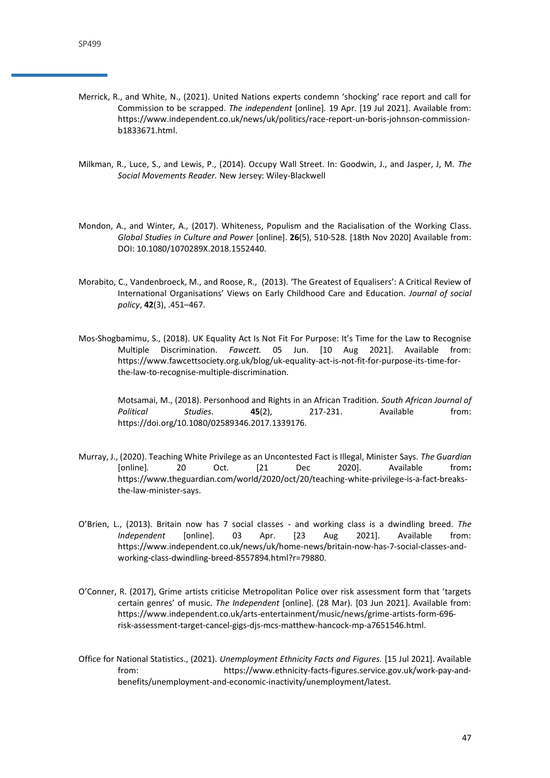- Merrick, R., and White, N., (2021). United Nations experts condemn 'shocking' race report and call for Commission to be scrapped. *The independent* [online]*.* 19 Apr. [19 Jul 2021]. Available from: https://www.independent.co.uk/news/uk/politics/race-report-un-boris-johnson-commissionb1833671.html.
- Milkman, R., Luce, S., and Lewis, P., (2014). Occupy Wall Street. In: Goodwin, J., and Jasper, J, M. *The Social Movements Reader.* New Jersey: Wiley-Blackwell
- Mondon, A., and Winter, A., (2017). Whiteness, Populism and the Racialisation of the Working Class. *Global Studies in Culture and Power* [online]. **26**(5), 510-528. [18th Nov 2020] Available from: DOI: 10.1080/1070289X.2018.1552440.
- Morabito, C., Vandenbroeck, M., and Roose, R., (2013). 'The Greatest of Equalisers': A Critical Review of International Organisations' Views on Early Childhood Care and Education. *Journal of social policy*, **42**(3), .451–467.
- Mos-Shogbamimu, S., (2018). UK Equality Act Is Not Fit For Purpose: It's Time for the Law to Recognise Multiple Discrimination. *Fawcett.* 05 Jun. [10 Aug 2021]. Available from: https://www.fawcettsociety.org.uk/blog/uk-equality-act-is-not-fit-for-purpose-its-time-forthe-law-to-recognise-multiple-discrimination.

Motsamai, M., (2018). Personhood and Rights in an African Tradition. *South African Journal of Political Studies.* **45**(2), 217-231. Available from: https://doi.org/10.1080/02589346.2017.1339176.

- Murray, J., (2020). Teaching White Privilege as an Uncontested Fact is Illegal, Minister Says. *The Guardian*  [online]*.* 20 Oct. [21 Dec 2020]. Available from**:**  https://www.theguardian.com/world/2020/oct/20/teaching-white-privilege-is-a-fact-breaksthe-law-minister-says.
- O'Brien, L., (2013). Britain now has 7 social classes and working class is a dwindling breed. *The Independent* [online]. 03 Apr. [23 Aug 2021]. Available from: [https://www.independent.co.uk/news/uk/home-news/britain-now-has-7-social-classes-and](https://www.independent.co.uk/news/uk/home-news/britain-now-has-7-social-classes-and-working-class-dwindling-breed-8557894.html?r=79880)[working-class-dwindling-breed-8557894.html?r=79880.](https://www.independent.co.uk/news/uk/home-news/britain-now-has-7-social-classes-and-working-class-dwindling-breed-8557894.html?r=79880)
- O'Conner, R. (2017), Grime artists criticise Metropolitan Police over risk assessment form that 'targets certain genres' of music. *The Independent* [online]. (28 Mar). [03 Jun 2021]. Available from: https://www.independent.co.uk/arts-entertainment/music/news/grime-artists-form-696 risk-assessment-target-cancel-gigs-djs-mcs-matthew-hancock-mp-a7651546.html.
- Office for National Statistics., (2021). *Unemployment Ethnicity Facts and Figures.* [15 Jul 2021]. Available from: https://www.ethnicity-facts-figures.service.gov.uk/work-pay-andbenefits/unemployment-and-economic-inactivity/unemployment/latest.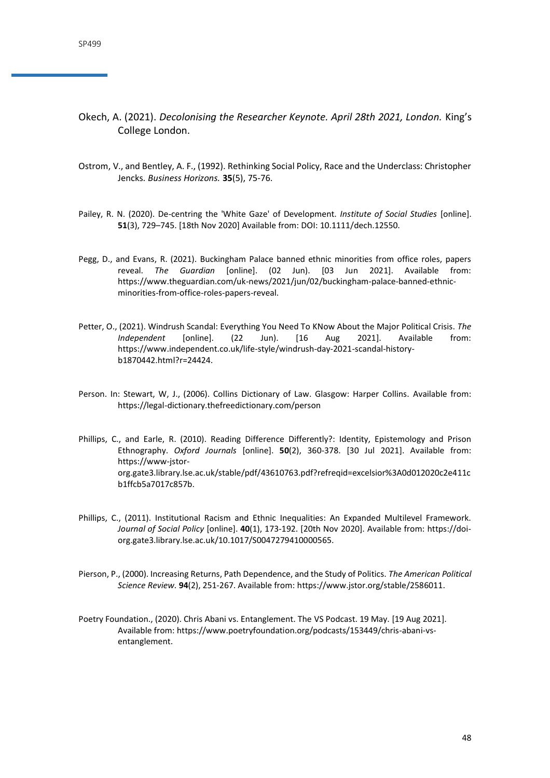- Okech, A. (2021). *Decolonising the Researcher Keynote. April 28th 2021, London.* King's College London.
- Ostrom, V., and Bentley, A. F., (1992). Rethinking Social Policy, Race and the Underclass: Christopher Jencks. *Business Horizons.* **35**(5), 75-76.
- Pailey, R. N. (2020). De-centring the 'White Gaze' of Development. *Institute of Social Studies* [online]. **51**(3), 729–745. [18th Nov 2020] Available from: DOI: 10.1111/dech.12550.
- Pegg, D., and Evans, R. (2021). Buckingham Palace banned ethnic minorities from office roles, papers reveal. *The Guardian* [online]. (02 Jun). [03 Jun 2021]. Available from: https://www.theguardian.com/uk-news/2021/jun/02/buckingham-palace-banned-ethnicminorities-from-office-roles-papers-reveal.
- Petter, O., (2021). Windrush Scandal: Everything You Need To KNow About the Major Political Crisis. *The Independent* [online]. (22 Jun). [16 Aug 2021]. Available from: https://www.independent.co.uk/life-style/windrush-day-2021-scandal-historyb1870442.html?r=24424.
- Person. In: Stewart, W, J., (2006). Collins Dictionary of Law. Glasgow: Harper Collins. Available from: https://legal-dictionary.thefreedictionary.com/person
- Phillips, C., and Earle, R. (2010). Reading Difference Differently?: Identity, Epistemology and Prison Ethnography. *Oxford Journals* [online]. **50**(2), 360-378. [30 Jul 2021]. Available from: https://www-jstororg.gate3.library.lse.ac.uk/stable/pdf/43610763.pdf?refreqid=excelsior%3A0d012020c2e411c b1ffcb5a7017c857b.
- Phillips, C., (2011). Institutional Racism and Ethnic Inequalities: An Expanded Multilevel Framework. *Journal of Social Policy* [online]. **40**(1), 173-192. [20th Nov 2020]. Available from: https://doiorg.gate3.library.lse.ac.uk/10.1017/S0047279410000565.
- Pierson, P., (2000). Increasing Returns, Path Dependence, and the Study of Politics. *The American Political Science Review.* **94**(2), 251-267. Available from: https://www.jstor.org/stable/2586011.
- Poetry Foundation., (2020). Chris Abani vs. Entanglement. The VS Podcast. 19 May. [19 Aug 2021]. Available from: https://www.poetryfoundation.org/podcasts/153449/chris-abani-vsentanglement.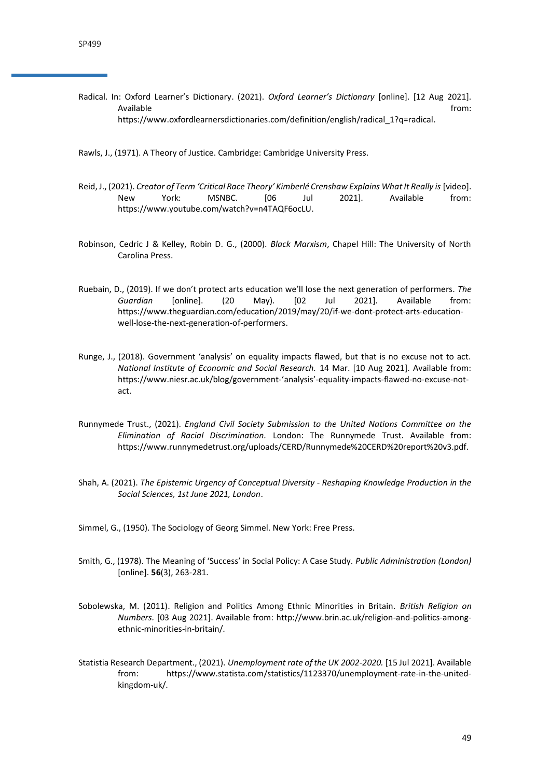Radical. In: Oxford Learner's Dictionary. (2021). *Oxford Learner's Dictionary* [online]. [12 Aug 2021]. Available from: the contract of the contract of the contract of the contract of the contract of the contract of the contract of the contract of the contract of the contract of the contract of the contract of the contract o https://www.oxfordlearnersdictionaries.com/definition/english/radical\_1?q=radical.

Rawls, J., (1971). A Theory of Justice. Cambridge: Cambridge University Press.

- Reid, J., (2021). *Creator of Term 'Critical Race Theory' Kimberlé Crenshaw Explains What It Really is* [video]. New York: MSNBC. [06 Jul 2021]. Available from: https://www.youtube.com/watch?v=n4TAQF6ocLU.
- Robinson, Cedric J & Kelley, Robin D. G., (2000). *Black Marxism*, Chapel Hill: The University of North Carolina Press.
- Ruebain, D., (2019). If we don't protect arts education we'll lose the next generation of performers. *The Guardian* [online]. (20 May). [02 Jul 2021]. Available from: https://www.theguardian.com/education/2019/may/20/if-we-dont-protect-arts-educationwell-lose-the-next-generation-of-performers.
- Runge, J., (2018). Government 'analysis' on equality impacts flawed, but that is no excuse not to act. *National Institute of Economic and Social Research.* 14 Mar. [10 Aug 2021]. Available from: https://www.niesr.ac.uk/blog/government-'analysis'-equality-impacts-flawed-no-excuse-notact.
- Runnymede Trust., (2021). *England Civil Society Submission to the United Nations Committee on the Elimination of Racial Discrimination.* London: The Runnymede Trust. Available from: https://www.runnymedetrust.org/uploads/CERD/Runnymede%20CERD%20report%20v3.pdf.
- Shah, A. (2021). *The Epistemic Urgency of Conceptual Diversity - Reshaping Knowledge Production in the Social Sciences, 1st June 2021, London*.

Simmel, G., (1950). The Sociology of Georg Simmel. New York: Free Press.

- Smith, G., (1978). The Meaning of 'Success' in Social Policy: A Case Study. *Public Administration (London)*  [online]. **56**(3), 263-281.
- Sobolewska, M. (2011). Religion and Politics Among Ethnic Minorities in Britain. *British Religion on Numbers.* [03 Aug 2021]. Available from: http://www.brin.ac.uk/religion-and-politics-amongethnic-minorities-in-britain/.
- Statistia Research Department., (2021). *Unemployment rate of the UK 2002-2020.* [15 Jul 2021]. Available from: https://www.statista.com/statistics/1123370/unemployment-rate-in-the-unitedkingdom-uk/.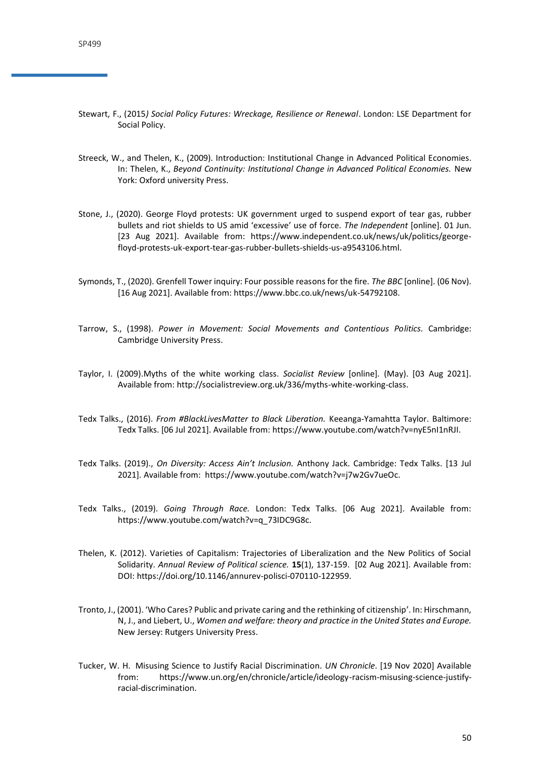- Stewart, F., (2015*) Social Policy Futures: Wreckage, Resilience or Renewal*. London: LSE Department for Social Policy.
- Streeck, W., and Thelen, K., (2009). Introduction: Institutional Change in Advanced Political Economies. In: Thelen, K., *Beyond Continuity: Institutional Change in Advanced Political Economies.* New York: Oxford university Press.
- Stone, J., (2020). George Floyd protests: UK government urged to suspend export of tear gas, rubber bullets and riot shields to US amid 'excessive' use of force. *The Independent* [online]. 01 Jun. [23 Aug 2021]. Available from: [https://www.independent.co.uk/news/uk/politics/george](https://www.independent.co.uk/news/uk/politics/george-floyd-protests-uk-export-tear-gas-rubber-bullets-shields-us-a9543106.html)[floyd-protests-uk-export-tear-gas-rubber-bullets-shields-us-a9543106.html.](https://www.independent.co.uk/news/uk/politics/george-floyd-protests-uk-export-tear-gas-rubber-bullets-shields-us-a9543106.html)
- Symonds, T., (2020). Grenfell Tower inquiry: Four possible reasons for the fire. *The BBC* [online]. (06 Nov). [16 Aug 2021]. Available from: https://www.bbc.co.uk/news/uk-54792108.
- Tarrow, S., (1998). *Power in Movement: Social Movements and Contentious Politics.* Cambridge: Cambridge University Press.
- Taylor, I. (2009).Myths of the white working class. *Socialist Review* [online]*.* (May). [03 Aug 2021]. Available from: http://socialistreview.org.uk/336/myths-white-working-class.
- Tedx Talks., (2016). *From #BlackLivesMatter to Black Liberation.* Keeanga-Yamahtta Taylor. Baltimore: Tedx Talks. [06 Jul 2021]. Available from: https://www.youtube.com/watch?v=nyE5nI1nRJI.
- Tedx Talks. (2019)., *On Diversity: Access Ain't Inclusion.* Anthony Jack. Cambridge: Tedx Talks. [13 Jul 2021]. Available from: https://www.youtube.com/watch?v=j7w2Gv7ueOc.
- Tedx Talks., (2019). *Going Through Race.* London: Tedx Talks. [06 Aug 2021]. Available from: https://www.youtube.com/watch?v=q\_73IDC9G8c.
- Thelen, K. (2012). Varieties of Capitalism: Trajectories of Liberalization and the New Politics of Social Solidarity. *Annual Review of Political science.* **15**(1), 137-159. [02 Aug 2021]. Available from: DOI: [https://doi.org/10.1146/annurev-polisci-070110-122959.](https://doi.org/10.1146/annurev-polisci-070110-122959)
- Tronto, J., (2001). 'Who Cares? Public and private caring and the rethinking of citizenship'. In: Hirschmann, N, J., and Liebert, U., *Women and welfare: theory and practice in the United States and Europe.*  New Jersey: Rutgers University Press.
- Tucker, W. H. Misusing Science to Justify Racial Discrimination. *UN Chronicle*. [19 Nov 2020] Available from: https://www.un.org/en/chronicle/article/ideology-racism-misusing-science-justifyracial-discrimination.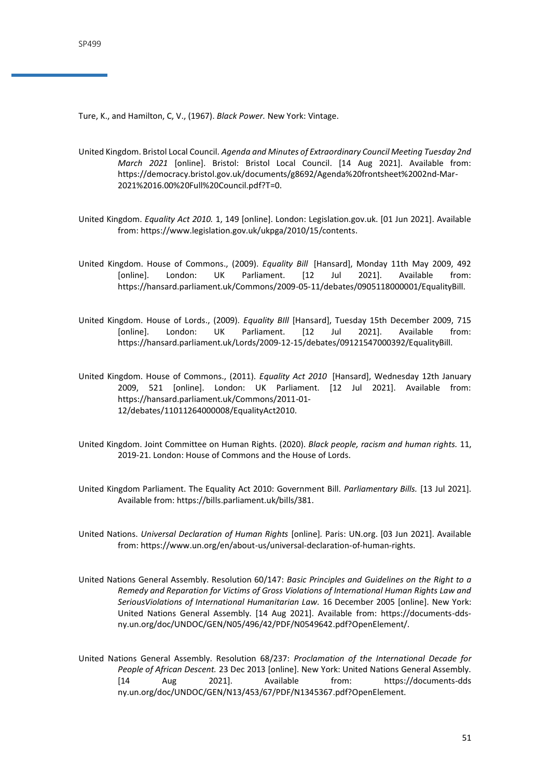Ture, K., and Hamilton, C, V., (1967). *Black Power.* New York: Vintage.

- United Kingdom. Bristol Local Council. *Agenda and Minutes of Extraordinary Council Meeting Tuesday 2nd March 2021* [online]. Bristol: Bristol Local Council. [14 Aug 2021]. Available from: https://democracy.bristol.gov.uk/documents/g8692/Agenda%20frontsheet%2002nd-Mar-2021%2016.00%20Full%20Council.pdf?T=0.
- United Kingdom. *Equality Act 2010.* 1, 149 [online]. London: Legislation.gov.uk. [01 Jun 2021]. Available from: https://www.legislation.gov.uk/ukpga/2010/15/contents.
- United Kingdom. House of Commons., (2009). *Equality Bill* [Hansard], Monday 11th May 2009, 492 [online]. London: UK Parliament. [12 Jul 2021]. Available from: https://hansard.parliament.uk/Commons/2009-05-11/debates/0905118000001/EqualityBill.
- United Kingdom. House of Lords., (2009). *Equality BIll* [Hansard], Tuesday 15th December 2009, 715 [online]. London: UK Parliament. [12 Jul 2021]. Available from: https://hansard.parliament.uk/Lords/2009-12-15/debates/09121547000392/EqualityBill.
- United Kingdom. House of Commons., (2011). *Equality Act 2010* [Hansard], Wednesday 12th January 2009, 521 [online]. London: UK Parliament. [12 Jul 2021]. Available from: https://hansard.parliament.uk/Commons/2011-01- 12/debates/11011264000008/EqualityAct2010.
- United Kingdom. Joint Committee on Human Rights. (2020). *Black people, racism and human rights.* 11, 2019-21. London: House of Commons and the House of Lords.
- United Kingdom Parliament. The Equality Act 2010: Government Bill. *Parliamentary Bills.* [13 Jul 2021]. Available from: https://bills.parliament.uk/bills/381.
- United Nations. *Universal Declaration of Human Rights* [online]*.* Paris: UN.org. [03 Jun 2021]. Available from: https://www.un.org/en/about-us/universal-declaration-of-human-rights.
- United Nations General Assembly. Resolution 60/147: *Basic Principles and Guidelines on the Right to a Remedy and Reparation for Victims of Gross Violations of International Human Rights Law and SeriousViolations of International Humanitarian Law.* 16 December 2005 [online]. New York: United Nations General Assembly. [14 Aug 2021]. Available from: https://documents-ddsny.un.org/doc/UNDOC/GEN/N05/496/42/PDF/N0549642.pdf?OpenElement/.
- United Nations General Assembly. Resolution 68/237: *Proclamation of the International Decade for People of African Descent.* 23 Dec 2013 [online]. New York: United Nations General Assembly. [14 Aug 2021]. Available from: https://documents-dds ny.un.org/doc/UNDOC/GEN/N13/453/67/PDF/N1345367.pdf?OpenElement.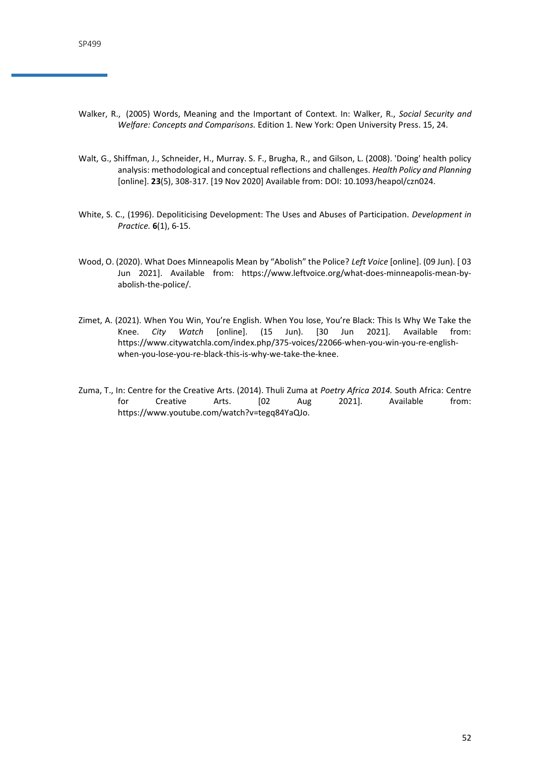- Walker, R., (2005) Words, Meaning and the Important of Context. In: Walker, R., *Social Security and Welfare: Concepts and Comparisons.* Edition 1. New York: Open University Press. 15, 24.
- Walt, G., Shiffman, J., Schneider, H., Murray. S. F., Brugha, R., and Gilson, L. (2008). 'Doing' health policy analysis: methodological and conceptual reflections and challenges. *Health Policy and Planning*  [online]. **23**(5), 308-317. [19 Nov 2020] Available from: DOI: 10.1093/heapol/czn024.
- White, S. C., (1996). Depoliticising Development: The Uses and Abuses of Participation. *Development in Practice.* **6**(1), 6-15.
- Wood, O. (2020). What Does Minneapolis Mean by "Abolish" the Police? *Left Voice* [online]. (09 Jun). [ 03 Jun 2021]. Available from: https://www.leftvoice.org/what-does-minneapolis-mean-byabolish-the-police/.
- Zimet, A. (2021). When You Win, You're English. When You lose, You're Black: This Is Why We Take the Knee. *City Watch* [online]. (15 Jun). [30 Jun 2021]. Available from: https://www.citywatchla.com/index.php/375-voices/22066-when-you-win-you-re-englishwhen-you-lose-you-re-black-this-is-why-we-take-the-knee.
- Zuma, T., In: Centre for the Creative Arts. (2014). Thuli Zuma at *Poetry Africa 2014.* South Africa: Centre for Creative Arts. [02 Aug 2021]. Available from: https://www.youtube.com/watch?v=tegq84YaQJo.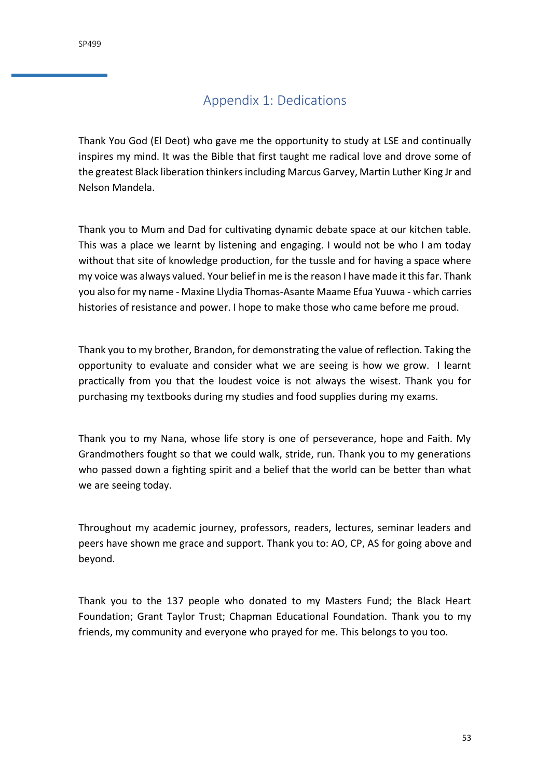# Appendix 1: Dedications

<span id="page-52-0"></span>Thank You God (El Deot) who gave me the opportunity to study at LSE and continually inspires my mind. It was the Bible that first taught me radical love and drove some of the greatest Black liberation thinkers including Marcus Garvey, Martin Luther King Jr and Nelson Mandela.

Thank you to Mum and Dad for cultivating dynamic debate space at our kitchen table. This was a place we learnt by listening and engaging. I would not be who I am today without that site of knowledge production, for the tussle and for having a space where my voice was always valued. Your belief in me is the reason I have made it this far. Thank you also for my name - Maxine Llydia Thomas-Asante Maame Efua Yuuwa - which carries histories of resistance and power. I hope to make those who came before me proud.

Thank you to my brother, Brandon, for demonstrating the value of reflection. Taking the opportunity to evaluate and consider what we are seeing is how we grow. I learnt practically from you that the loudest voice is not always the wisest. Thank you for purchasing my textbooks during my studies and food supplies during my exams.

Thank you to my Nana, whose life story is one of perseverance, hope and Faith. My Grandmothers fought so that we could walk, stride, run. Thank you to my generations who passed down a fighting spirit and a belief that the world can be better than what we are seeing today.

Throughout my academic journey, professors, readers, lectures, seminar leaders and peers have shown me grace and support. Thank you to: AO, CP, AS for going above and beyond.

Thank you to the 137 people who donated to my Masters Fund; the Black Heart Foundation; Grant Taylor Trust; Chapman Educational Foundation. Thank you to my friends, my community and everyone who prayed for me. This belongs to you too.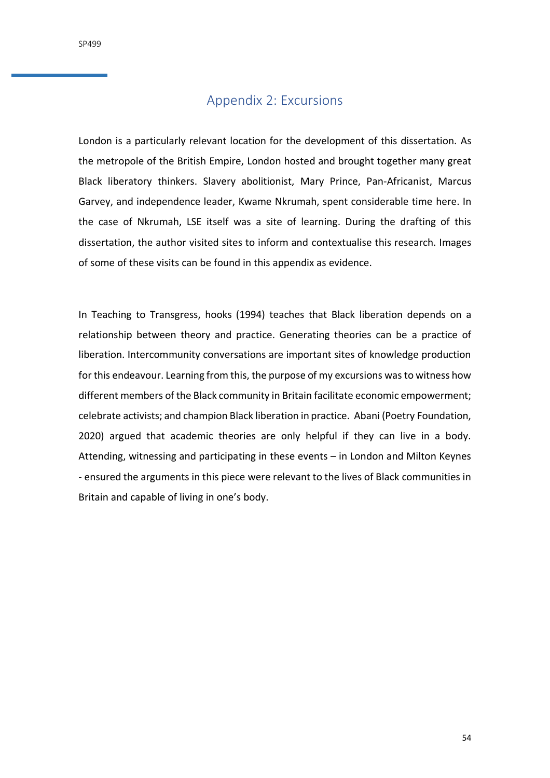# Appendix 2: Excursions

<span id="page-53-0"></span>London is a particularly relevant location for the development of this dissertation. As the metropole of the British Empire, London hosted and brought together many great Black liberatory thinkers. Slavery abolitionist, Mary Prince, Pan-Africanist, Marcus Garvey, and independence leader, Kwame Nkrumah, spent considerable time here. In the case of Nkrumah, LSE itself was a site of learning. During the drafting of this dissertation, the author visited sites to inform and contextualise this research. Images of some of these visits can be found in this appendix as evidence.

In Teaching to Transgress, hooks (1994) teaches that Black liberation depends on a relationship between theory and practice. Generating theories can be a practice of liberation. Intercommunity conversations are important sites of knowledge production for this endeavour. Learning from this, the purpose of my excursions was to witness how different members of the Black community in Britain facilitate economic empowerment; celebrate activists; and champion Black liberation in practice. Abani (Poetry Foundation, 2020) argued that academic theories are only helpful if they can live in a body. Attending, witnessing and participating in these events – in London and Milton Keynes - ensured the arguments in this piece were relevant to the lives of Black communities in Britain and capable of living in one's body.